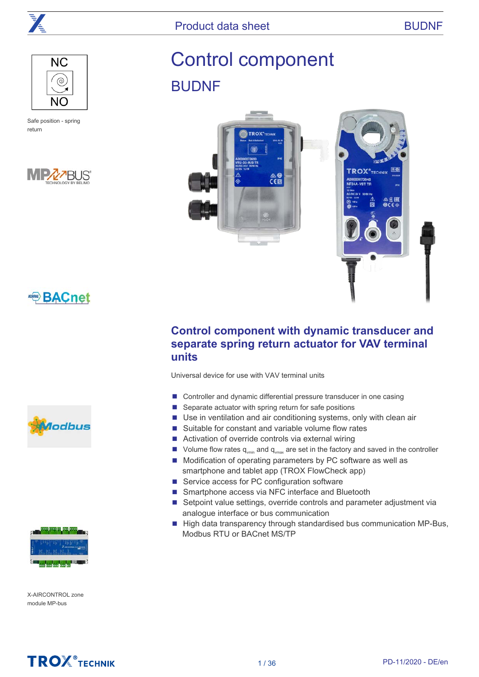

Product data sheet BUDNF



Safe position - spring return



# Control component BUDNF



### **Control component with dynamic transducer and separate spring return actuator for VAV terminal units**

Universal device for use with VAV terminal units

- Controller and dynamic differential pressure transducer in one casing
- Separate actuator with spring return for safe positions
- Use in ventilation and air conditioning systems, only with clean air
- Suitable for constant and variable volume flow rates
- Activation of override controls via external wiring
- $\blacksquare$  Volume flow rates q<sub>vmin</sub> and q<sub>vmax</sub> are set in the factory and saved in the controller
- Modification of operating parameters by PC software as well as smartphone and tablet app (TROX FlowCheck app)
- Service access for PC configuration software
- Smartphone access via NFC interface and Bluetooth
- Setpoint value settings, override controls and parameter adjustment via analogue interface or bus communication
- High data transparency through standardised bus communication MP-Bus, Modbus RTU or BACnet MS/TP







X-AIRCONTROL zone module MP-bus

## **TROX**<sup>®</sup>TECHNIK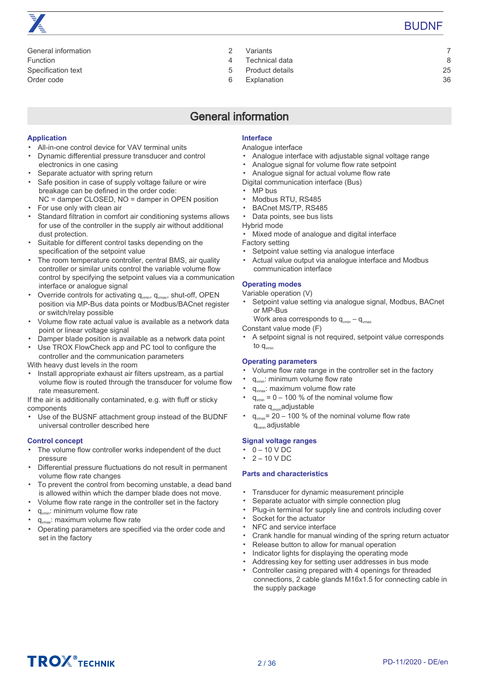

| General information |   |
|---------------------|---|
| Function            |   |
| Specification text  | 5 |
| Order code          | ൳ |

[Variants 7](#page-6-0)

- Technical data and a series of the series of the series of the series of the series of the series of the series of the series of the series of the series of the series of the series of the series of the series of the serie
- [Product details 25](#page-24-0)
- [Explanation 36](#page-35-0)

## General information

#### <span id="page-1-0"></span>**Application**

- All-in-one control device for VAV terminal units
- Dynamic differential pressure transducer and control electronics in one casing
- Separate actuator with spring return
- Safe position in case of supply voltage failure or wire breakage can be defined in the order code: NC = damper CLOSED, NO = damper in OPEN position
- For use only with clean air
- Standard filtration in comfort air conditioning systems allows for use of the controller in the supply air without additional dust protection.
- Suitable for different control tasks depending on the specification of the setpoint value
- The room temperature controller, central BMS, air quality controller or similar units control the variable volume flow control by specifying the setpoint values via a communication interface or analogue signal
- Override controls for activating  $q_{vmin}$ ,  $q_{vmax}$ , shut-off, OPEN position via MP-Bus data points or Modbus/BACnet register or switch/relay possible
- Volume flow rate actual value is available as a network data point or linear voltage signal
- Damper blade position is available as a network data point
- Use TROX FlowCheck app and PC tool to configure the controller and the communication parameters

With heavy dust levels in the room

▪ Install appropriate exhaust air filters upstream, as a partial volume flow is routed through the transducer for volume flow rate measurement.

If the air is additionally contaminated, e.g. with fluff or sticky components

▪ Use of the BUSNF attachment group instead of the BUDNF universal controller described here

#### **Control concept**

- The volume flow controller works independent of the duct pressure
- Differential pressure fluctuations do not result in permanent volume flow rate changes
- To prevent the control from becoming unstable, a dead band is allowed within which the damper blade does not move.
- Volume flow rate range in the controller set in the factory
- q<sub>vmin</sub>: minimum volume flow rate
- $q_{\text{max}}$ : maximum volume flow rate
- Operating parameters are specified via the order code and set in the factory

### **Interface**

#### Analogue interface

- Analogue interface with adjustable signal voltage range
- Analogue signal for volume flow rate setpoint
- Analogue signal for actual volume flow rate
- Digital communication interface (Bus)
- MP bus
- Modbus RTU, RS485
- BACnet MS/TP, RS485
- Data points, see bus lists

Hybrid mode

- Mixed mode of analogue and digital interface
- Factory setting
- Setpoint value setting via analogue interface
- Actual value output via analogue interface and Modbus communication interface

#### **Operating modes**

- Variable operation (V)
- Setpoint value setting via analogue signal, Modbus, BACnet or MP-Bus
	- Work area corresponds to  $q_{\text{vmin}} q_{\text{vmax}}$
- Constant value mode (F)
- A setpoint signal is not required, setpoint value corresponds to  $q_{\text{vmin}}$

#### **Operating parameters**

- Volume flow rate range in the controller set in the factory
- q<sub>vmin</sub>: minimum volume flow rate
- q<sub>vmax</sub>: maximum volume flow rate
- $q_{\text{vmin}} = 0 - 100$  % of the nominal volume flow rate  $q_{vnom}$ adjustable
- $q_{\text{max}}$  = 20 – 100 % of the nominal volume flow rate qvenn adjustable

#### **Signal voltage ranges**

- $\cdot$  0 10 V DC
- $\cdot$  2 10 V DC

#### **Parts and characteristics**

- Transducer for dynamic measurement principle
- Separate actuator with simple connection plug
- Plug-in terminal for supply line and controls including cover
- Socket for the actuator
- NFC and service interface
- Crank handle for manual winding of the spring return actuator
- Release button to allow for manual operation
- Indicator lights for displaying the operating mode
- Addressing key for setting user addresses in bus mode
- Controller casing prepared with 4 openings for threaded connections, 2 cable glands M16x1.5 for connecting cable in the supply package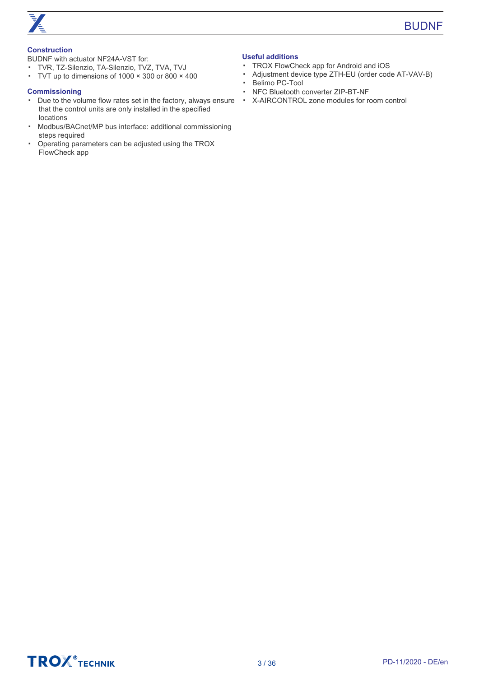

#### **Construction**

BUDNF with actuator NF24A-VST for:

- TVR, TZ-Silenzio, TA-Silenzio, TVZ, TVA, TVJ
- TVT up to dimensions of 1000 × 300 or 800 × 400

#### **Commissioning**

- ▪ Due to the volume flow rates set in the factory, always ensure X-AIRCONTROL zone modules for room control that the control units are only installed in the specified locations
- Modbus/BACnet/MP bus interface: additional commissioning steps required
- Operating parameters can be adjusted using the TROX FlowCheck app

#### **Useful additions**

- TROX FlowCheck app for Android and iOS
- Adjustment device type ZTH-EU (order code AT-VAV-B)
- Belimo PC-Tool
- NFC Bluetooth converter ZIP-BT-NF
- 

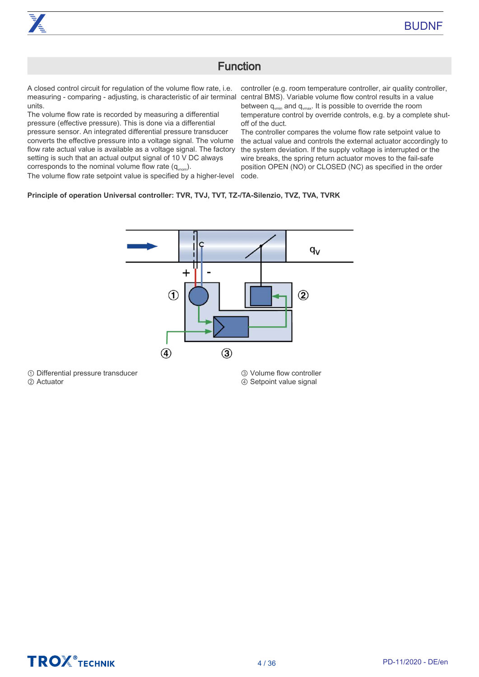### Function

<span id="page-3-0"></span>A closed control circuit for regulation of the volume flow rate, i.e. measuring - comparing - adjusting, is characteristic of air terminal units.

The volume flow rate is recorded by measuring a differential pressure (effective pressure). This is done via a differential pressure sensor. An integrated differential pressure transducer converts the effective pressure into a voltage signal. The volume flow rate actual value is available as a voltage signal. The factory setting is such that an actual output signal of 10 V DC always corresponds to the nominal volume flow rate  $(q_{\text{vnom}})$ . The volume flow rate setpoint value is specified by a higher-level

controller (e.g. room temperature controller, air quality controller, central BMS). Variable volume flow control results in a value between  $q_{\text{vmin}}$  and  $q_{\text{vmax}}$ . It is possible to override the room temperature control by override controls, e.g. by a complete shutoff of the duct.

The controller compares the volume flow rate setpoint value to the actual value and controls the external actuator accordingly to the system deviation. If the supply voltage is interrupted or the wire breaks, the spring return actuator moves to the fail-safe position OPEN (NO) or CLOSED (NC) as specified in the order code.

#### **Principle of operation Universal controller: TVR, TVJ, TVT, TZ-/TA-Silenzio, TVZ, TVA, TVRK**



① Differential pressure transducer

② Actuator

③ Volume flow controller ④ Setpoint value signal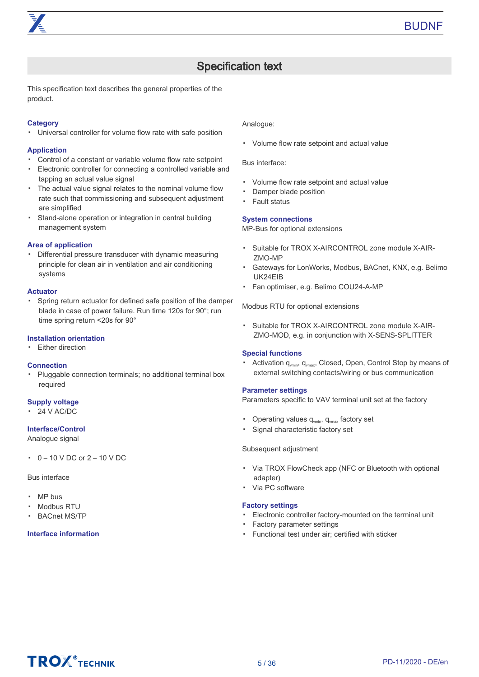## Specification text

<span id="page-4-0"></span>This specification text describes the general properties of the product.

#### **Category**

▪ Universal controller for volume flow rate with safe position

#### **Application**

- Control of a constant or variable volume flow rate setpoint
- Electronic controller for connecting a controlled variable and tapping an actual value signal
- The actual value signal relates to the nominal volume flow rate such that commissioning and subsequent adjustment are simplified
- Stand-alone operation or integration in central building management system

#### **Area of application**

▪ Differential pressure transducer with dynamic measuring principle for clean air in ventilation and air conditioning systems

#### **Actuator**

▪ Spring return actuator for defined safe position of the damper blade in case of power failure. Run time 120s for 90°; run time spring return <20s for 90°

#### **Installation orientation**

• Either direction

#### **Connection**

▪ Pluggable connection terminals; no additional terminal box required

#### **Supply voltage**

▪ 24 V AC/DC

#### **Interface/Control**

Analogue signal

▪ 0 – 10 V DC or 2 – 10 V DC

#### Bus interface

- MP bus
- Modbus RTU
- BACnet MS/TP

#### **Interface information**

Analogue:

▪ Volume flow rate setpoint and actual value

Bus interface:

- Volume flow rate setpoint and actual value
- Damper blade position
- Fault status

#### **System connections**

MP-Bus for optional extensions

- Suitable for TROX X-AIRCONTROL zone module X-AIR-ZMO-MP
- Gateways for LonWorks, Modbus, BACnet, KNX, e.g. Belimo UK24EIB
- Fan optimiser, e.g. Belimo COU24-A-MP

Modbus RTU for optional extensions

▪ Suitable for TROX X-AIRCONTROL zone module X-AIR-ZMO-MOD, e.g. in conjunction with X-SENS-SPLITTER

#### **Special functions**

• Activation q<sub>vmin</sub>, q<sub>vmax</sub>, Closed, Open, Control Stop by means of external switching contacts/wiring or bus communication

#### **Parameter settings**

Parameters specific to VAV terminal unit set at the factory

- Operating values  $q_{\text{win}}$ ,  $q_{\text{vmax}}$  factory set
- Signal characteristic factory set

#### Subsequent adjustment

- Via TROX FlowCheck app (NFC or Bluetooth with optional adapter)
- Via PC software

#### **Factory settings**

- Electronic controller factory-mounted on the terminal unit
- Factory parameter settings
- Functional test under air; certified with sticker

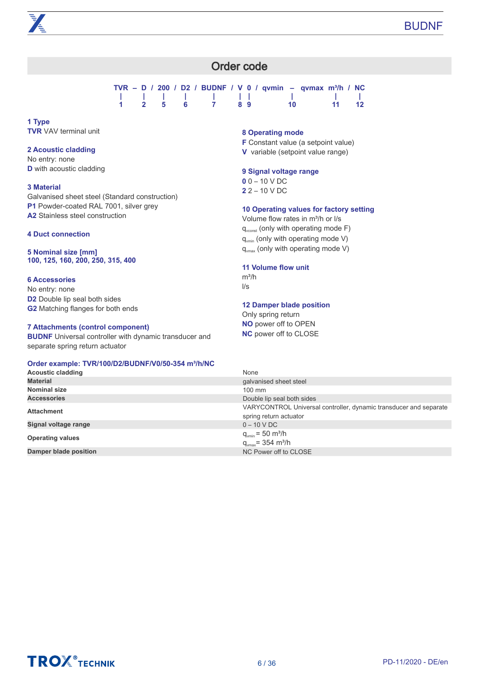### Order code

|  |    |       |                |    |     | TVR – D / 200 / D2 / BUDNF / V 0 / qvmin – qvmax m <sup>3</sup> /h / NC |       |
|--|----|-------|----------------|----|-----|-------------------------------------------------------------------------|-------|
|  |    |       |                |    |     |                                                                         |       |
|  | 25 | - 6 - | $\overline{7}$ | 89 | 10. | $-11$                                                                   | $-12$ |

<span id="page-5-0"></span>**1 Type TVR** VAV terminal unit

#### **2 Acoustic cladding**

No entry: none **D** with acoustic cladding

#### **3 Material**

Galvanised sheet steel (Standard construction) **P1** Powder-coated RAL 7001, silver grey **A2** Stainless steel construction

#### **4 Duct connection**

**5 Nominal size [mm] 100, 125, 160, 200, 250, 315, 400**

#### **6 Accessories**

No entry: none **D2** Double lip seal both sides **G2** Matching flanges for both ends

#### **7 Attachments (control component)**

**BUDNF** Universal controller with dynamic transducer and separate spring return actuator

#### **Order example: TVR/100/D2/BUDNF/V0/50-354 m³/h/NC**

#### **8 Operating mode**

**F** Constant value (a setpoint value)

**V**  variable (setpoint value range)

#### **9 Signal voltage range**

**0** 0 – 10 V DC **2** 2 – 10 V DC

#### **10 Operating values for factory setting**

Volume flow rates in m<sup>3</sup>/h or I/s  $q_{\text{vconst}}$  (only with operating mode F)  $q_{\text{win}}$  (only with operating mode V)  $q<sub>max</sub>$  (only with operating mode V)

#### **11 Volume flow unit**

 $m^3/h$ l/s

#### **12 Damper blade position**

Only spring return **NO** power off to OPEN **NC** power off to CLOSE

| $\bullet$ . We also a set of the state of $\bullet$ is the state of $\bullet$ . The state of $\bullet$ |                                                                                             |
|--------------------------------------------------------------------------------------------------------|---------------------------------------------------------------------------------------------|
| <b>Acoustic cladding</b>                                                                               | None                                                                                        |
| <b>Material</b>                                                                                        | galvanised sheet steel                                                                      |
| <b>Nominal size</b>                                                                                    | $100 \text{ mm}$                                                                            |
| <b>Accessories</b>                                                                                     | Double lip seal both sides                                                                  |
| <b>Attachment</b>                                                                                      | VARYCONTROL Universal controller, dynamic transducer and separate<br>spring return actuator |
| Signal voltage range                                                                                   | $0 - 10 VDC$                                                                                |
| <b>Operating values</b>                                                                                | $q_{\text{vmin}}$ = 50 m <sup>3</sup> /h<br>$q_{\text{max}}$ = 354 m <sup>3</sup> /h        |
| Damper blade position                                                                                  | NC Power off to CLOSE                                                                       |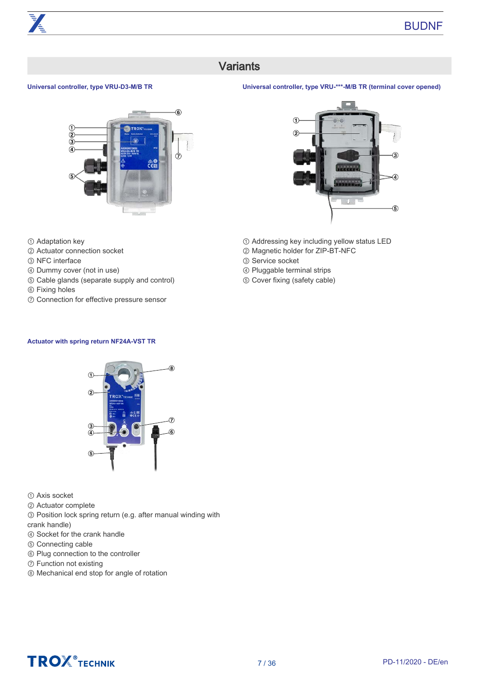## **Variants**

#### <span id="page-6-0"></span>**Universal controller, type VRU-D3-M/B TR**



- ① Adaptation key
- ② Actuator connection socket
- ③ NFC interface
- ④ Dummy cover (not in use)
- ⑤ Cable glands (separate supply and control)
- ⑥ Fixing holes
- ⑦ Connection for effective pressure sensor

### **Actuator with spring return NF24A-VST TR**



① Axis socket

- ② Actuator complete
- ③ Position lock spring return (e.g. after manual winding with crank handle)
- ④ Socket for the crank handle
- ⑤ Connecting cable
- ⑥ Plug connection to the controller
- ⑦ Function not existing
- ⑧ Mechanical end stop for angle of rotation

#### **Universal controller, type VRU-\*\*\*-M/B TR (terminal cover opened)**



- ① Addressing key including yellow status LED
- ② Magnetic holder for ZIP-BT-NFC
- ③ Service socket
- ④ Pluggable terminal strips
- ⑤ Cover fixing (safety cable)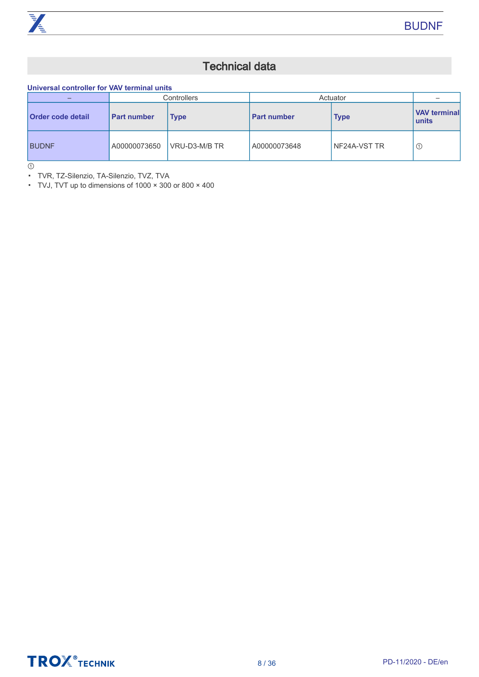

## Technical data

<span id="page-7-0"></span>**Universal controller for VAV terminal units**

| -                        |                    | Controllers   | Actuator           |              |                              |
|--------------------------|--------------------|---------------|--------------------|--------------|------------------------------|
| <b>Order code detail</b> | <b>Part number</b> | Type          | <b>Part number</b> | <b>Type</b>  | <b>VAV terminal</b><br>units |
| <b>BUDNF</b>             | A00000073650       | VRU-D3-M/B TR | A00000073648       | NF24A-VST TR | $\odot$                      |

 $\odot$ 

▪ TVR, TZ-Silenzio, TA-Silenzio, TVZ, TVA

▪ TVJ, TVT up to dimensions of 1000 × 300 or 800 × 400

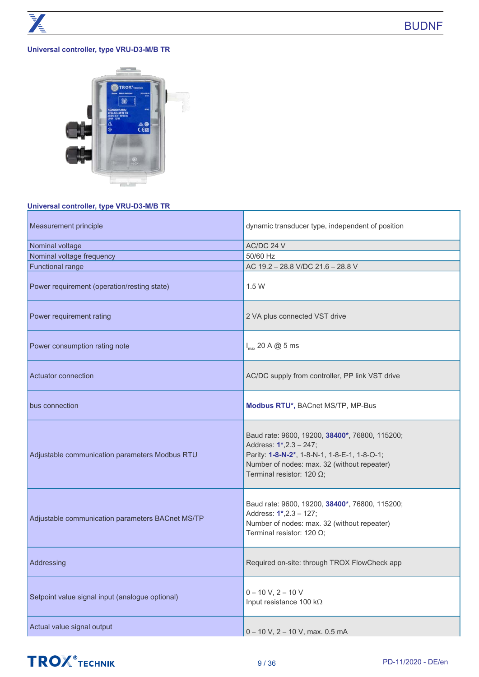#### **Universal controller, type VRU-D3-M/B TR**



#### **Universal controller, type VRU-D3-M/B TR**

| Measurement principle                            | dynamic transducer type, independent of position                                                                                                                                                             |
|--------------------------------------------------|--------------------------------------------------------------------------------------------------------------------------------------------------------------------------------------------------------------|
| Nominal voltage                                  | AC/DC 24 V                                                                                                                                                                                                   |
| Nominal voltage frequency                        | 50/60 Hz                                                                                                                                                                                                     |
| <b>Functional range</b>                          | AC 19.2 - 28.8 V/DC 21.6 - 28.8 V                                                                                                                                                                            |
| Power requirement (operation/resting state)      | 1.5W                                                                                                                                                                                                         |
| Power requirement rating                         | 2 VA plus connected VST drive                                                                                                                                                                                |
| Power consumption rating note                    | $I_{max}$ 20 A @ 5 ms                                                                                                                                                                                        |
| Actuator connection                              | AC/DC supply from controller, PP link VST drive                                                                                                                                                              |
| bus connection                                   | Modbus RTU*, BACnet MS/TP, MP-Bus                                                                                                                                                                            |
| Adjustable communication parameters Modbus RTU   | Baud rate: 9600, 19200, 38400*, 76800, 115200;<br>Address: 1*,2.3 - 247;<br>Parity: 1-8-N-2*, 1-8-N-1, 1-8-E-1, 1-8-O-1;<br>Number of nodes: max. 32 (without repeater)<br>Terminal resistor: 120 $\Omega$ ; |
| Adjustable communication parameters BACnet MS/TP | Baud rate: 9600, 19200, 38400*, 76800, 115200;<br>Address: 1*,2.3 - 127;<br>Number of nodes: max. 32 (without repeater)<br>Terminal resistor: 120 $\Omega$ ;                                                 |
| Addressing                                       | Required on-site: through TROX FlowCheck app                                                                                                                                                                 |
| Setpoint value signal input (analogue optional)  | $0 - 10 V$ , $2 - 10 V$<br>Input resistance 100 k $\Omega$                                                                                                                                                   |
| Actual value signal output                       | 0 - 10 V, 2 - 10 V, max. 0.5 mA                                                                                                                                                                              |

## **TROX** TECHNIK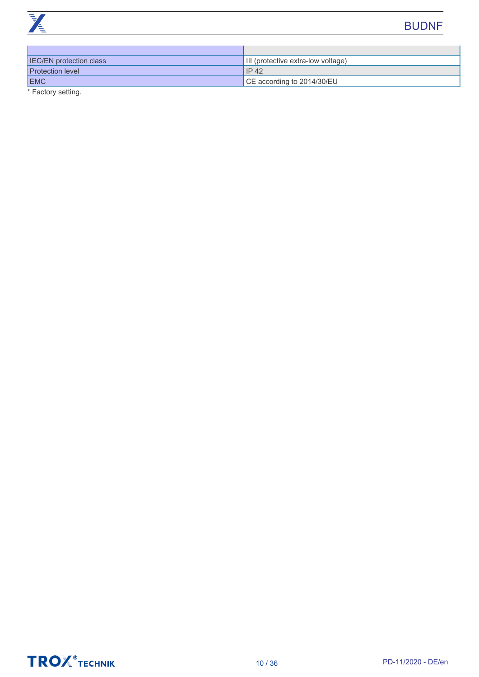

| <b>IEC/EN protection class</b> | III (protective extra-low voltage)       |
|--------------------------------|------------------------------------------|
| <b>Protection level</b>        | IP42                                     |
| <b>EMC</b>                     | $\overline{)$ CE according to 2014/30/EU |

\* Factory setting.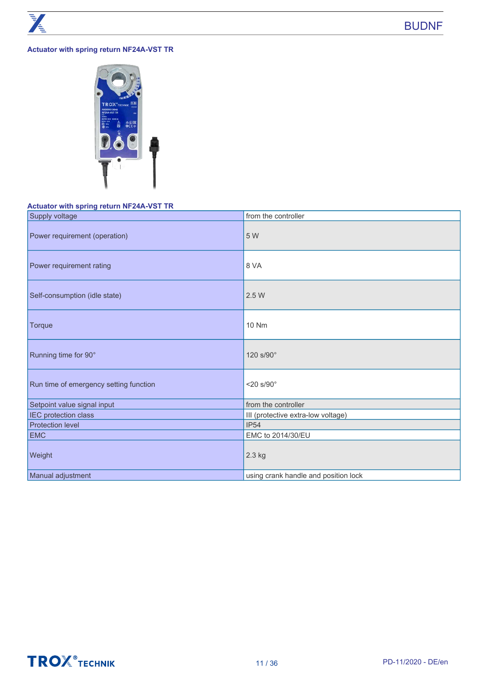#### **Actuator with spring return NF24A-VST TR**



#### **Actuator with spring return NF24A-VST TR**

| Supply voltage                         | from the controller                  |
|----------------------------------------|--------------------------------------|
| Power requirement (operation)          | 5 W                                  |
| Power requirement rating               | 8 VA                                 |
| Self-consumption (idle state)          | 2.5 W                                |
| Torque                                 | 10 Nm                                |
| Running time for 90°                   | 120 s/90°                            |
| Run time of emergency setting function | $<$ 20 s/90 $^{\circ}$               |
| Setpoint value signal input            | from the controller                  |
| IEC protection class                   | III (protective extra-low voltage)   |
| <b>Protection level</b>                | IP54                                 |
| <b>EMC</b>                             | EMC to 2014/30/EU                    |
| Weight                                 | 2.3 kg                               |
| Manual adjustment                      | using crank handle and position lock |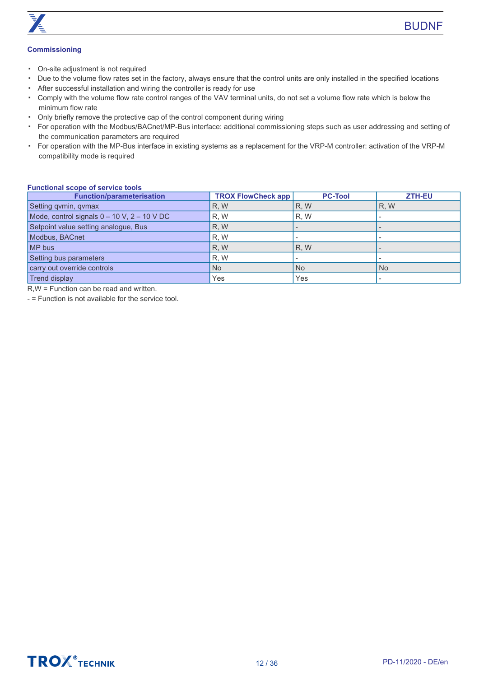

#### **Commissioning**

- On-site adjustment is not required
- Due to the volume flow rates set in the factory, always ensure that the control units are only installed in the specified locations
- After successful installation and wiring the controller is ready for use
- Comply with the volume flow rate control ranges of the VAV terminal units, do not set a volume flow rate which is below the minimum flow rate
- Only briefly remove the protective cap of the control component during wiring
- For operation with the Modbus/BACnet/MP-Bus interface: additional commissioning steps such as user addressing and setting of the communication parameters are required
- For operation with the MP-Bus interface in existing systems as a replacement for the VRP-M controller: activation of the VRP-M compatibility mode is required

#### **Functional scope of service tools**

| <b>Function/parameterisation</b>                | <b>TROX FlowCheck app</b> | <b>PC-Tool</b> | <b>ZTH-EU</b> |
|-------------------------------------------------|---------------------------|----------------|---------------|
| Setting qvmin, qvmax                            | R, W                      | R, W           | R, W          |
| Mode, control signals $0 - 10$ V, $2 - 10$ V DC | R, W                      | R, W           |               |
| Setpoint value setting analogue, Bus            | R, W                      |                |               |
| Modbus, BACnet                                  | R, W                      |                |               |
| MP bus                                          | R, W                      | <b>R.W</b>     |               |
| Setting bus parameters                          | R, W                      |                |               |
| carry out override controls                     | <b>No</b>                 | <b>No</b>      | <b>No</b>     |
| <b>Trend display</b>                            | Yes                       | Yes            |               |

R,W = Function can be read and written.

- = Function is not available for the service tool.

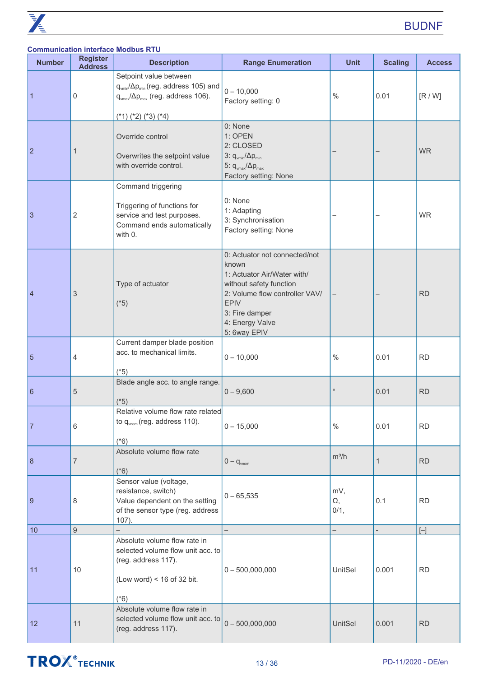|                 |                                   | <b>Communication interface Modbus RTU</b>                                                                                                                                    |                                                                                                                                                                                                        |                   |                |               |
|-----------------|-----------------------------------|------------------------------------------------------------------------------------------------------------------------------------------------------------------------------|--------------------------------------------------------------------------------------------------------------------------------------------------------------------------------------------------------|-------------------|----------------|---------------|
| <b>Number</b>   | <b>Register</b><br><b>Address</b> | <b>Description</b>                                                                                                                                                           | <b>Range Enumeration</b>                                                                                                                                                                               | <b>Unit</b>       | <b>Scaling</b> | <b>Access</b> |
| 1               | 0                                 | Setpoint value between<br>q <sub>vmin</sub> / $\Delta p_{min}$ (reg. address 105) and<br>$q_{\text{max}}/\Delta p_{\text{max}}$ (reg. address 106).<br>$(*1) (*2) (*3) (*4)$ | $0 - 10,000$<br>Factory setting: 0                                                                                                                                                                     | $\%$              | 0.01           | [R/W]         |
| $\overline{2}$  | 1                                 | Override control<br>Overwrites the setpoint value<br>with override control.                                                                                                  | 0: None<br>1: OPEN<br>2: CLOSED<br>3: $q_{\text{vmin}}/\Delta p_{\text{min}}$<br>5: $q_{\text{vmax}}/\Delta p_{\text{max}}$<br>Factory setting: None                                                   |                   |                | <b>WR</b>     |
| 3               | $\overline{2}$                    | Command triggering<br>Triggering of functions for<br>service and test purposes.<br>Command ends automatically<br>with 0.                                                     | 0: None<br>1: Adapting<br>3: Synchronisation<br>Factory setting: None                                                                                                                                  |                   |                | <b>WR</b>     |
| $\overline{4}$  | $\ensuremath{\mathsf{3}}$         | Type of actuator<br>$(*5)$                                                                                                                                                   | 0: Actuator not connected/not<br>known<br>1: Actuator Air/Water with/<br>without safety function<br>2: Volume flow controller VAV/<br><b>EPIV</b><br>3: Fire damper<br>4: Energy Valve<br>5: 6way EPIV |                   |                | <b>RD</b>     |
| 5               | 4                                 | Current damper blade position<br>acc. to mechanical limits.<br>$(*5)$                                                                                                        | $0 - 10,000$                                                                                                                                                                                           | $\%$              | 0.01           | <b>RD</b>     |
| $6\phantom{1}6$ | 5                                 | Blade angle acc. to angle range.<br>$(*5)$                                                                                                                                   | $0 - 9,600$                                                                                                                                                                                            |                   | 0.01           | <b>RD</b>     |
| 7               | 6                                 | Relative volume flow rate related<br>to $q_{\text{vnom}}$ (reg. address 110).<br>$(*6)$                                                                                      | $0 - 15,000$                                                                                                                                                                                           | $\%$              | 0.01           | <b>RD</b>     |
| 8               | $\boldsymbol{7}$                  | Absolute volume flow rate<br>$(*6)$                                                                                                                                          | $0 - q_{\text{vnom}}$                                                                                                                                                                                  | $m^3/h$           | $\mathbf{1}$   | <b>RD</b>     |
| 9               | 8                                 | Sensor value (voltage,<br>resistance, switch)<br>Value dependent on the setting<br>of the sensor type (reg. address<br>$107$ ).                                              | $0 - 65,535$                                                                                                                                                                                           | mV,<br>Ω,<br>0/1, | 0.1            | <b>RD</b>     |
| 10              | $\overline{9}$                    |                                                                                                                                                                              |                                                                                                                                                                                                        |                   |                | $[ - ]$       |
| 11              | 10                                | Absolute volume flow rate in<br>selected volume flow unit acc. to<br>(reg. address 117).<br>(Low word) < $16$ of 32 bit.<br>$(*6)$                                           | $0 - 500,000,000$                                                                                                                                                                                      | UnitSel           | 0.001          | <b>RD</b>     |
| 12              | 11                                | Absolute volume flow rate in<br>selected volume flow unit acc. to<br>(reg. address 117).                                                                                     | $0 - 500,000,000$                                                                                                                                                                                      | <b>UnitSel</b>    | 0.001          | <b>RD</b>     |

## **TROX**<sup>®</sup>TECHNIK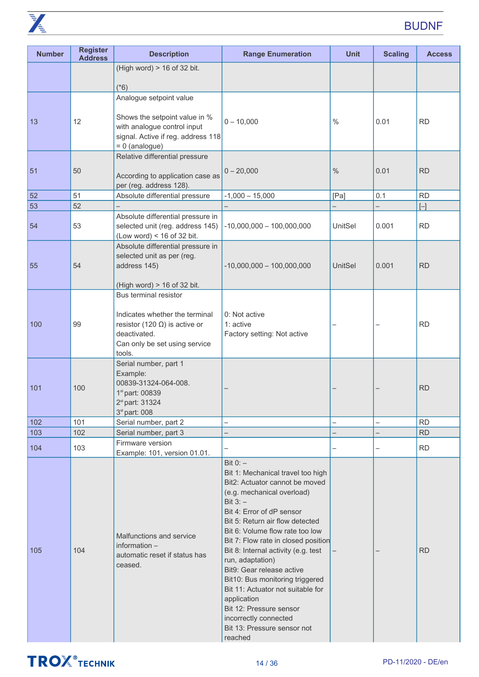

| <b>Number</b> | <b>Register</b><br><b>Address</b> | <b>Description</b>                                                                                                                                          | <b>Range Enumeration</b>                                                                                                                                                                                                                                                                                                                                                                                                                                                                                                                             | <b>Unit</b>    | <b>Scaling</b>           | <b>Access</b> |
|---------------|-----------------------------------|-------------------------------------------------------------------------------------------------------------------------------------------------------------|------------------------------------------------------------------------------------------------------------------------------------------------------------------------------------------------------------------------------------------------------------------------------------------------------------------------------------------------------------------------------------------------------------------------------------------------------------------------------------------------------------------------------------------------------|----------------|--------------------------|---------------|
|               |                                   | (High word) > 16 of 32 bit.                                                                                                                                 |                                                                                                                                                                                                                                                                                                                                                                                                                                                                                                                                                      |                |                          |               |
|               |                                   | $(*6)$                                                                                                                                                      |                                                                                                                                                                                                                                                                                                                                                                                                                                                                                                                                                      |                |                          |               |
|               |                                   | Analogue setpoint value                                                                                                                                     |                                                                                                                                                                                                                                                                                                                                                                                                                                                                                                                                                      |                |                          |               |
| 13            | 12                                | Shows the setpoint value in %<br>with analogue control input<br>signal. Active if reg. address 118<br>$= 0$ (analogue)                                      | $0 - 10,000$                                                                                                                                                                                                                                                                                                                                                                                                                                                                                                                                         | $\frac{0}{0}$  | 0.01                     | <b>RD</b>     |
|               |                                   | Relative differential pressure                                                                                                                              |                                                                                                                                                                                                                                                                                                                                                                                                                                                                                                                                                      |                |                          |               |
| 51            | 50                                | According to application case as<br>per (reg. address 128).                                                                                                 | $0 - 20,000$                                                                                                                                                                                                                                                                                                                                                                                                                                                                                                                                         | $\%$           | 0.01                     | <b>RD</b>     |
| 52            | 51                                | Absolute differential pressure                                                                                                                              | $-1,000 - 15,000$                                                                                                                                                                                                                                                                                                                                                                                                                                                                                                                                    | [Pa]           | 0.1                      | <b>RD</b>     |
| 53            | 52                                |                                                                                                                                                             |                                                                                                                                                                                                                                                                                                                                                                                                                                                                                                                                                      |                |                          | $[-]$         |
| 54            | 53                                | Absolute differential pressure in<br>selected unit (reg. address 145)<br>(Low word) < $16$ of 32 bit.                                                       | $-10,000,000 - 100,000,000$                                                                                                                                                                                                                                                                                                                                                                                                                                                                                                                          | UnitSel        | 0.001                    | <b>RD</b>     |
| 55            | 54                                | Absolute differential pressure in<br>selected unit as per (reg.<br>address 145)                                                                             | $-10,000,000 - 100,000,000$                                                                                                                                                                                                                                                                                                                                                                                                                                                                                                                          | <b>UnitSel</b> | 0.001                    | <b>RD</b>     |
|               |                                   | (High word) > 16 of 32 bit.                                                                                                                                 |                                                                                                                                                                                                                                                                                                                                                                                                                                                                                                                                                      |                |                          |               |
| 100           | 99                                | Bus terminal resistor<br>Indicates whether the terminal<br>resistor (120 $\Omega$ ) is active or<br>deactivated.<br>Can only be set using service<br>tools. | 0: Not active<br>1: active<br>Factory setting: Not active                                                                                                                                                                                                                                                                                                                                                                                                                                                                                            |                |                          | <b>RD</b>     |
| 101           | 100                               | Serial number, part 1<br>Example:<br>00839-31324-064-008.<br>1 <sup>st</sup> part: 00839<br>2 <sup>st</sup> part: 31324<br>3 <sup>st</sup> part: 008        |                                                                                                                                                                                                                                                                                                                                                                                                                                                                                                                                                      |                |                          | <b>RD</b>     |
| 102           | 101                               | Serial number, part 2                                                                                                                                       | -                                                                                                                                                                                                                                                                                                                                                                                                                                                                                                                                                    |                | -                        | <b>RD</b>     |
| 103           | 102                               | Serial number, part 3                                                                                                                                       |                                                                                                                                                                                                                                                                                                                                                                                                                                                                                                                                                      |                |                          | RD            |
| 104           | 103                               | Firmware version<br>Example: 101, version 01.01.                                                                                                            |                                                                                                                                                                                                                                                                                                                                                                                                                                                                                                                                                      |                | $\overline{\phantom{0}}$ | <b>RD</b>     |
| 105           | 104                               | Malfunctions and service<br>information -<br>automatic reset if status has<br>ceased.                                                                       | Bit $0:$ -<br>Bit 1: Mechanical travel too high<br>Bit2: Actuator cannot be moved<br>(e.g. mechanical overload)<br>Bit $3:$ -<br>Bit 4: Error of dP sensor<br>Bit 5: Return air flow detected<br>Bit 6: Volume flow rate too low<br>Bit 7: Flow rate in closed position<br>Bit 8: Internal activity (e.g. test<br>run, adaptation)<br>Bit9: Gear release active<br>Bit10: Bus monitoring triggered<br>Bit 11: Actuator not suitable for<br>application<br>Bit 12: Pressure sensor<br>incorrectly connected<br>Bit 13: Pressure sensor not<br>reached |                |                          | <b>RD</b>     |

## **TROX**<sup>®</sup>TECHNIK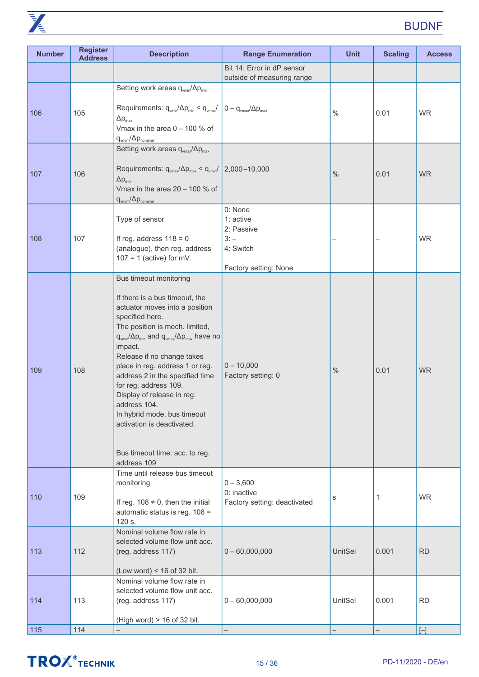

| <b>Number</b> | <b>Register</b><br><b>Address</b> | <b>Description</b>                                                                                                                                                                                                                                                                                                                                                                                                                                                                                                                                 | <b>Range Enumeration</b>                                                           | <b>Unit</b> | <b>Scaling</b>    | <b>Access</b> |
|---------------|-----------------------------------|----------------------------------------------------------------------------------------------------------------------------------------------------------------------------------------------------------------------------------------------------------------------------------------------------------------------------------------------------------------------------------------------------------------------------------------------------------------------------------------------------------------------------------------------------|------------------------------------------------------------------------------------|-------------|-------------------|---------------|
|               |                                   |                                                                                                                                                                                                                                                                                                                                                                                                                                                                                                                                                    | Bit 14: Error in dP sensor<br>outside of measuring range                           |             |                   |               |
| 106           | 105                               | Setting work areas qvmin/ $\Delta p_{min}$<br>Requirements: $q_{\text{vmin}}/\Delta p_{\text{min}} < q_{\text{vmax}}/ 0 - q_{\text{vmax}}/\Delta p_{\text{max}} $<br>$\Delta p_{\text{max}}$<br>Vmax in the area $0 - 100$ % of<br>$q_{\text{vnom}}/\Delta p_{\text{nominal}}$                                                                                                                                                                                                                                                                     |                                                                                    | $\%$        | 0.01              | <b>WR</b>     |
| 107           | 106                               | Setting work areas $q_{\text{vmax}}/\Delta p_{\text{max}}$<br>Requirements: $q_{\text{max}}/\Delta p_{\text{max}} < q_{\text{min}}/$<br>$\Delta p_{min}$<br>Vmax in the area $20 - 100$ % of<br>$q_{\text{vnom}}/\Delta p_{\text{nominal}}$                                                                                                                                                                                                                                                                                                        | $2,000 - 10,000$                                                                   | $\%$        | 0.01              | <b>WR</b>     |
| 108           | 107                               | Type of sensor<br>If reg. address $118 = 0$<br>(analogue), then reg. address<br>$107 = 1$ (active) for mV.                                                                                                                                                                                                                                                                                                                                                                                                                                         | 0: None<br>1: active<br>2: Passive<br>$3: -$<br>4: Switch<br>Factory setting: None |             |                   | <b>WR</b>     |
| 109           | 108                               | Bus timeout monitoring<br>If there is a bus timeout, the<br>actuator moves into a position<br>specified here.<br>The position is mech. limited,<br>$q_{\text{vmin}}/\Delta p_{\text{min}}$ and $q_{\text{vmax}}/\Delta p_{\text{max}}$ have no<br>impact.<br>Release if no change takes<br>place in reg. address 1 or reg.<br>address 2 in the specified time<br>for reg. address 109.<br>Display of release in reg.<br>address 104.<br>In hybrid mode, bus timeout<br>activation is deactivated.<br>Bus timeout time: acc. to reg.<br>address 109 | $0 - 10,000$<br>Factory setting: 0                                                 | $\%$        | 0.01              | <b>WR</b>     |
| 110           | 109                               | Time until release bus timeout<br>monitoring<br>If reg. $108 \neq 0$ , then the initial<br>automatic status is reg. 108 =<br>120 s.                                                                                                                                                                                                                                                                                                                                                                                                                | $0 - 3,600$<br>0: inactive<br>Factory setting: deactivated                         | s           | 1                 | <b>WR</b>     |
| 113           | 112                               | Nominal volume flow rate in<br>selected volume flow unit acc.<br>(reg. address 117)<br>(Low word) < $16$ of 32 bit.                                                                                                                                                                                                                                                                                                                                                                                                                                | $0 - 60,000,000$                                                                   | UnitSel     | 0.001             | <b>RD</b>     |
| 114           | 113                               | Nominal volume flow rate in<br>selected volume flow unit acc.<br>(reg. address 117)<br>(High word) > 16 of 32 bit.                                                                                                                                                                                                                                                                                                                                                                                                                                 | $0 - 60,000,000$                                                                   | UnitSel     | 0.001             | <b>RD</b>     |
| 115           | 114                               |                                                                                                                                                                                                                                                                                                                                                                                                                                                                                                                                                    | $\overline{\phantom{0}}$                                                           |             | $\qquad \qquad -$ | $[-]$         |

## **TROX** TECHNIK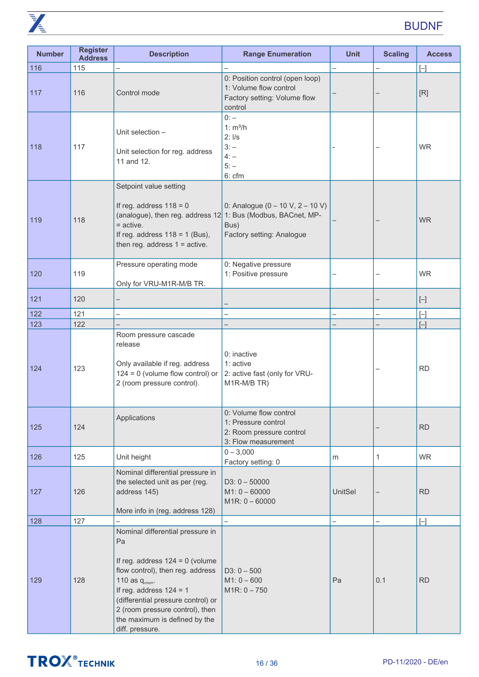

| <b>Number</b> | <b>Register</b><br><b>Address</b> | <b>Description</b>                                                                                                                                                                                                                                                                               | <b>Range Enumeration</b>                                                                             | <b>Unit</b>    | <b>Scaling</b> | <b>Access</b> |
|---------------|-----------------------------------|--------------------------------------------------------------------------------------------------------------------------------------------------------------------------------------------------------------------------------------------------------------------------------------------------|------------------------------------------------------------------------------------------------------|----------------|----------------|---------------|
| 116           | 115                               |                                                                                                                                                                                                                                                                                                  |                                                                                                      |                |                | $[ - ]$       |
| 117           | 116                               | Control mode                                                                                                                                                                                                                                                                                     | 0: Position control (open loop)<br>1: Volume flow control<br>Factory setting: Volume flow<br>control |                |                | [R]           |
| 118           | 117                               | Unit selection -<br>Unit selection for reg. address<br>11 and 12.                                                                                                                                                                                                                                | $0: -$<br>1: m <sup>3</sup> /h<br>2: I/s<br>$3: -$<br>$4: -$<br>$5: -$<br>6: cfm                     |                |                | <b>WR</b>     |
| 119           | 118                               | Setpoint value setting<br>If reg. address $118 = 0$<br>(analogue), then reg. address 12 1: Bus (Modbus, BACnet, MP-<br>$=$ active.<br>If reg. address $118 = 1$ (Bus),<br>then reg. address $1 =$ active.                                                                                        | 0: Analogue $(0 - 10 \text{ V}, 2 - 10 \text{ V})$<br>Bus)<br>Factory setting: Analogue              |                |                | <b>WR</b>     |
| 120           | 119                               | Pressure operating mode<br>Only for VRU-M1R-M/B TR.                                                                                                                                                                                                                                              | 0: Negative pressure<br>1: Positive pressure                                                         |                | -              | <b>WR</b>     |
| 121           | 120                               |                                                                                                                                                                                                                                                                                                  |                                                                                                      |                |                | $[ - ]$       |
| 122           | 121                               |                                                                                                                                                                                                                                                                                                  |                                                                                                      |                |                | $[ - ]$       |
| 123           | 122                               |                                                                                                                                                                                                                                                                                                  |                                                                                                      |                |                | $[ - ]$       |
| 124           | 123                               | Room pressure cascade<br>release<br>Only available if reg. address<br>$124 = 0$ (volume flow control) or<br>2 (room pressure control).                                                                                                                                                           | 0: inactive<br>1: active<br>2: active fast (only for VRU-<br>M1R-M/B TR)                             |                |                | <b>RD</b>     |
| 125           | 124                               | Applications                                                                                                                                                                                                                                                                                     | 0: Volume flow control<br>1: Pressure control<br>2: Room pressure control<br>3: Flow measurement     |                | -              | <b>RD</b>     |
| 126           | 125                               | Unit height                                                                                                                                                                                                                                                                                      | $0 - 3,000$<br>Factory setting: 0                                                                    | m              | $\mathbf{1}$   | <b>WR</b>     |
| 127           | 126                               | Nominal differential pressure in<br>the selected unit as per (reg.<br>address 145)<br>More info in (reg. address 128)                                                                                                                                                                            | $D3: 0 - 50000$<br>$M1: 0 - 60000$<br>$M1R: 0 - 60000$                                               | <b>UnitSel</b> | —              | <b>RD</b>     |
| 128           | 127                               |                                                                                                                                                                                                                                                                                                  | $\overline{\phantom{0}}$                                                                             |                |                | $[ - ]$       |
| 129           | 128                               | Nominal differential pressure in<br>Pa<br>If reg. address $124 = 0$ (volume<br>flow control), then reg. address<br>110 as $q_{vnom}$ .<br>If reg. address $124 = 1$<br>(differential pressure control) or<br>2 (room pressure control), then<br>the maximum is defined by the<br>diff. pressure. | $D3: 0 - 500$<br>$M1: 0 - 600$<br>$M1R: 0 - 750$                                                     | Pa             | 0.1            | <b>RD</b>     |

## **TROX**<sup>®</sup>TECHNIK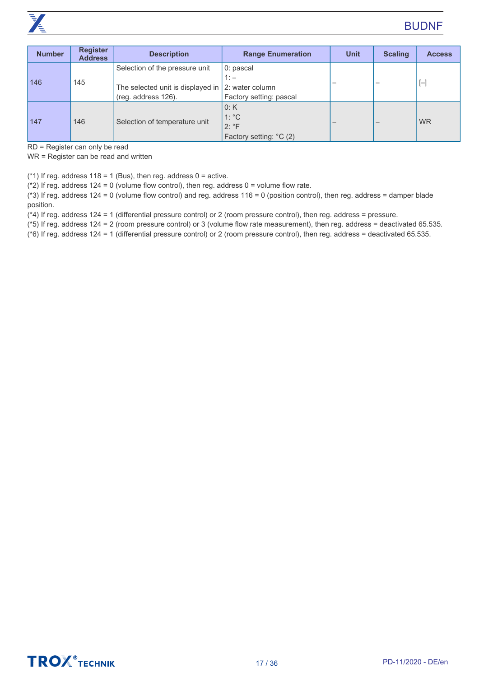

| <b>Number</b> | <b>Register</b><br><b>Address</b> | <b>Description</b>                                              | <b>Range Enumeration</b> | <b>Unit</b> | <b>Scaling</b> | <b>Access</b> |
|---------------|-----------------------------------|-----------------------------------------------------------------|--------------------------|-------------|----------------|---------------|
| 146           | 145                               | Selection of the pressure unit                                  | 0: pascal                |             |                |               |
|               |                                   | $1: -$<br>The selected unit is displayed in $ 2$ : water column |                          |             | -              | $[ - ]$       |
|               |                                   |                                                                 |                          |             |                |               |
|               |                                   | (reg. address 126).                                             | Factory setting: pascal  |             |                |               |
| 147           | 146                               |                                                                 | 0:K                      |             |                | <b>WR</b>     |
|               |                                   | Selection of temperature unit                                   | $1: {}^{\circ}C$         |             |                |               |
|               |                                   |                                                                 | $2: \degree F$           |             |                |               |
|               |                                   |                                                                 | Factory setting: °C (2)  |             |                |               |

RD = Register can only be read

WR = Register can be read and written

(\*1) If reg. address  $118 = 1$  (Bus), then reg. address  $0 =$  active.

( $*2$ ) If reg. address 124 = 0 (volume flow control), then reg. address 0 = volume flow rate.

(\*3) If reg. address 124 = 0 (volume flow control) and reg. address 116 = 0 (position control), then reg. address = damper blade position.

(\*4) If reg. address 124 = 1 (differential pressure control) or 2 (room pressure control), then reg. address = pressure.

(\*5) If reg. address 124 = 2 (room pressure control) or 3 (volume flow rate measurement), then reg. address = deactivated 65.535.

(\*6) If reg. address 124 = 1 (differential pressure control) or 2 (room pressure control), then reg. address = deactivated 65.535.

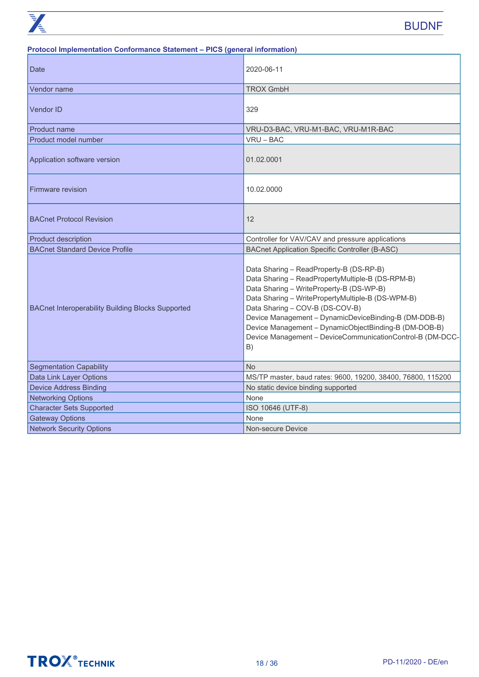#### **Protocol Implementation Conformance Statement – PICS (general information)**

| <b>Date</b>                                              | 2020-06-11                                                                                                                                                                                                                                                                                                                                                                                                           |
|----------------------------------------------------------|----------------------------------------------------------------------------------------------------------------------------------------------------------------------------------------------------------------------------------------------------------------------------------------------------------------------------------------------------------------------------------------------------------------------|
| Vendor name                                              | <b>TROX GmbH</b>                                                                                                                                                                                                                                                                                                                                                                                                     |
| <b>Vendor ID</b>                                         | 329                                                                                                                                                                                                                                                                                                                                                                                                                  |
| Product name                                             | VRU-D3-BAC, VRU-M1-BAC, VRU-M1R-BAC                                                                                                                                                                                                                                                                                                                                                                                  |
| Product model number                                     | VRU-BAC                                                                                                                                                                                                                                                                                                                                                                                                              |
| Application software version                             | 01.02.0001                                                                                                                                                                                                                                                                                                                                                                                                           |
| Firmware revision                                        | 10.02.0000                                                                                                                                                                                                                                                                                                                                                                                                           |
| <b>BACnet Protocol Revision</b>                          | 12                                                                                                                                                                                                                                                                                                                                                                                                                   |
| <b>Product description</b>                               | Controller for VAV/CAV and pressure applications                                                                                                                                                                                                                                                                                                                                                                     |
| <b>BACnet Standard Device Profile</b>                    | <b>BACnet Application Specific Controller (B-ASC)</b>                                                                                                                                                                                                                                                                                                                                                                |
| <b>BACnet Interoperability Building Blocks Supported</b> | Data Sharing - ReadProperty-B (DS-RP-B)<br>Data Sharing - ReadPropertyMultiple-B (DS-RPM-B)<br>Data Sharing - WriteProperty-B (DS-WP-B)<br>Data Sharing - WritePropertyMultiple-B (DS-WPM-B)<br>Data Sharing - COV-B (DS-COV-B)<br>Device Management - DynamicDeviceBinding-B (DM-DDB-B)<br>Device Management - DynamicObjectBinding-B (DM-DOB-B)<br>Device Management - DeviceCommunicationControl-B (DM-DCC-<br>B) |
| <b>Segmentation Capability</b>                           | <b>No</b>                                                                                                                                                                                                                                                                                                                                                                                                            |
| Data Link Layer Options                                  | MS/TP master, baud rates: 9600, 19200, 38400, 76800, 115200                                                                                                                                                                                                                                                                                                                                                          |
| <b>Device Address Binding</b>                            | No static device binding supported                                                                                                                                                                                                                                                                                                                                                                                   |
| <b>Networking Options</b>                                | None                                                                                                                                                                                                                                                                                                                                                                                                                 |
| <b>Character Sets Supported</b>                          | ISO 10646 (UTF-8)                                                                                                                                                                                                                                                                                                                                                                                                    |
| <b>Gateway Options</b>                                   | None                                                                                                                                                                                                                                                                                                                                                                                                                 |
| <b>Network Security Options</b>                          | Non-secure Device                                                                                                                                                                                                                                                                                                                                                                                                    |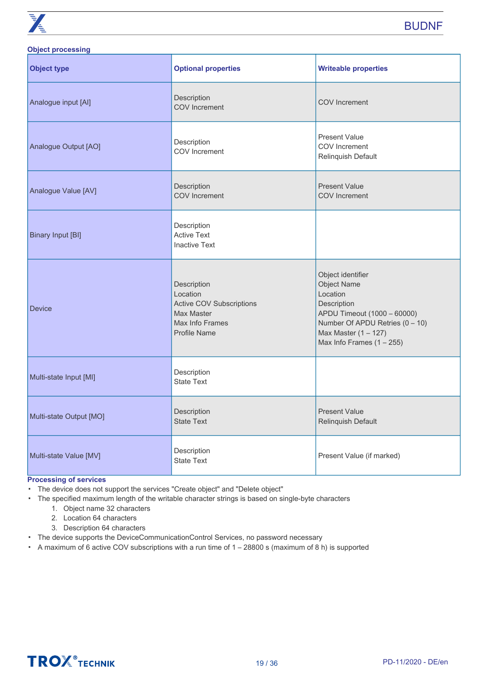

#### **Object processing**

| <b>Object type</b>       | <b>Optional properties</b>                                                                                         | <b>Writeable properties</b>                                                                                                                                                                   |
|--------------------------|--------------------------------------------------------------------------------------------------------------------|-----------------------------------------------------------------------------------------------------------------------------------------------------------------------------------------------|
| Analogue input [Al]      | Description<br><b>COV</b> Increment                                                                                | <b>COV</b> Increment                                                                                                                                                                          |
| Analogue Output [AO]     | Description<br>COV Increment                                                                                       | <b>Present Value</b><br>COV Increment<br>Relinquish Default                                                                                                                                   |
| Analogue Value [AV]      | Description<br><b>COV</b> Increment                                                                                | <b>Present Value</b><br><b>COV</b> Increment                                                                                                                                                  |
| <b>Binary Input [BI]</b> | Description<br><b>Active Text</b><br><b>Inactive Text</b>                                                          |                                                                                                                                                                                               |
| <b>Device</b>            | Description<br>Location<br><b>Active COV Subscriptions</b><br>Max Master<br>Max Info Frames<br><b>Profile Name</b> | Object identifier<br><b>Object Name</b><br>Location<br>Description<br>APDU Timeout (1000 - 60000)<br>Number Of APDU Retries (0 - 10)<br>Max Master $(1 - 127)$<br>Max Info Frames $(1 - 255)$ |
| Multi-state Input [MI]   | Description<br><b>State Text</b>                                                                                   |                                                                                                                                                                                               |
| Multi-state Output [MO]  | Description<br><b>State Text</b>                                                                                   | <b>Present Value</b><br>Relinquish Default                                                                                                                                                    |
| Multi-state Value [MV]   | Description<br><b>State Text</b>                                                                                   | Present Value (if marked)                                                                                                                                                                     |

#### **Processing of services**

▪ The device does not support the services "Create object" and "Delete object"

- The specified maximum length of the writable character strings is based on single-byte characters
	- 1. Object name 32 characters
	- 2. Location 64 characters
	- 3. Description 64 characters
- The device supports the DeviceCommunicationControl Services, no password necessary
- A maximum of 6 active COV subscriptions with a run time of 1 28800 s (maximum of 8 h) is supported

## **TROX** TECHNIK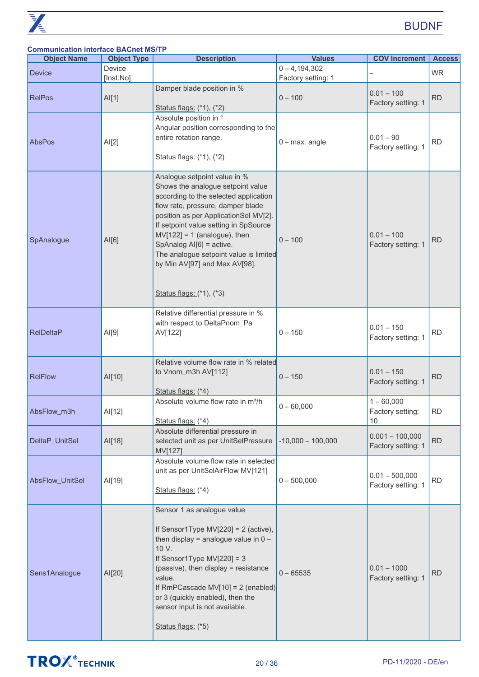#### **Communication interface BACnet MS/TP**

| <b>Object Name</b> | <b>Object Type</b> | <b>Description</b>                                                                                                                                                                                                                                                                                                                                                                                     | <b>Values</b>       | <b>COV Increment   Access</b>           |           |
|--------------------|--------------------|--------------------------------------------------------------------------------------------------------------------------------------------------------------------------------------------------------------------------------------------------------------------------------------------------------------------------------------------------------------------------------------------------------|---------------------|-----------------------------------------|-----------|
| <b>Device</b>      | Device             |                                                                                                                                                                                                                                                                                                                                                                                                        | $0 - 4,194,302$     |                                         | <b>WR</b> |
|                    | [Inst.No]          |                                                                                                                                                                                                                                                                                                                                                                                                        | Factory setting: 1  |                                         |           |
| <b>RelPos</b>      | AI[1]              | Damper blade position in %<br>Status flags: (*1), (*2)                                                                                                                                                                                                                                                                                                                                                 | $0 - 100$           | $0.01 - 100$<br>Factory setting: 1      | <b>RD</b> |
| AbsPos             | AI[2]              | Absolute position in °<br>Angular position corresponding to the<br>entire rotation range.<br>Status flags: (*1), (*2)                                                                                                                                                                                                                                                                                  | $0$ – max. angle    | $0.01 - 90$<br>Factory setting: 1       | <b>RD</b> |
| SpAnalogue         | AI[6]              | Analogue setpoint value in %<br>Shows the analogue setpoint value<br>according to the selected application<br>flow rate, pressure, damper blade<br>position as per ApplicationSel MV[2].<br>If setpoint value setting in SpSource<br>$MV[122] = 1$ (analogue), then<br>SpAnalog Al[6] = active.<br>The analogue setpoint value is limited<br>by Min AV[97] and Max AV[98].<br>Status flags: (*1), (*3) | $0 - 100$           | $0.01 - 100$<br>Factory setting: 1      | <b>RD</b> |
| <b>RelDeltaP</b>   | AI[9]              | Relative differential pressure in %<br>with respect to DeltaPnom_Pa<br>AV[122]                                                                                                                                                                                                                                                                                                                         | $0 - 150$           | $0.01 - 150$<br>Factory setting: 1      | <b>RD</b> |
| <b>RelFlow</b>     | AI[10]             | Relative volume flow rate in % related<br>to Vnom_m3h AV[112]<br>Status flags: (*4)                                                                                                                                                                                                                                                                                                                    | $0 - 150$           | $0.01 - 150$<br>Factory setting: 1      | <b>RD</b> |
| AbsFlow_m3h        | AI[12]             | Absolute volume flow rate in m <sup>3</sup> /h<br>Status flags: (*4)                                                                                                                                                                                                                                                                                                                                   | $0 - 60,000$        | $1 - 60,000$<br>Factory setting:<br>10  | <b>RD</b> |
| DeltaP_UnitSel     | AI[18]             | Absolute differential pressure in<br>selected unit as per UnitSelPressure<br>MV[127]                                                                                                                                                                                                                                                                                                                   | $-10,000 - 100,000$ | $0.001 - 100,000$<br>Factory setting: 1 | <b>RD</b> |
| AbsFlow_UnitSel    | AI[19]             | Absolute volume flow rate in selected<br>unit as per UnitSelAirFlow MV[121]<br>Status flags: (*4)                                                                                                                                                                                                                                                                                                      | $0 - 500,000$       | $0.01 - 500,000$<br>Factory setting: 1  | <b>RD</b> |
| Sens1Analogue      | AI[20]             | Sensor 1 as analogue value<br>If Sensor1Type MV[220] = $2$ (active),<br>then display = analogue value in $0 -$<br>10 V.<br>If Sensor1Type MV[220] = $3$<br>(passive), then display = resistance<br>value.<br>If RmPCascade MV[10] = $2$ (enabled)<br>or 3 (quickly enabled), then the<br>sensor input is not available.<br>Status flags: (*5)                                                          | $0 - 65535$         | $0.01 - 1000$<br>Factory setting: 1     | <b>RD</b> |

## **TROX**<sup>®</sup>TECHNIK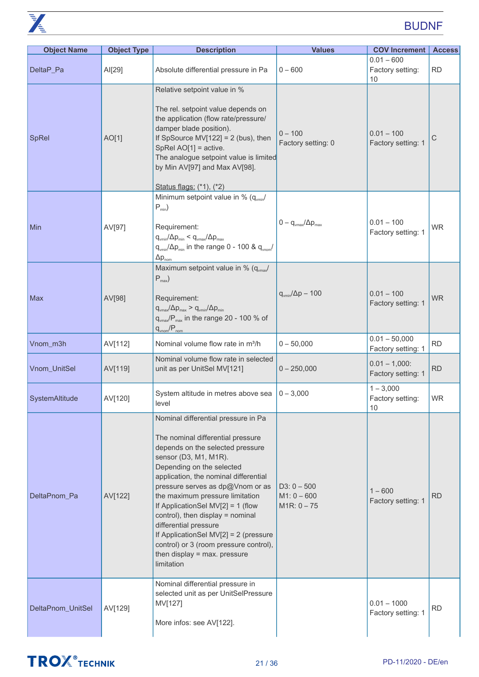

| <b>Object Name</b> | <b>Object Type</b> | <b>Description</b>                                                                                                                                                                                                                                                                                                                                                                                                                                                                                                    | <b>Values</b>                                   | <b>COV Increment</b>                   | <b>Access</b> |
|--------------------|--------------------|-----------------------------------------------------------------------------------------------------------------------------------------------------------------------------------------------------------------------------------------------------------------------------------------------------------------------------------------------------------------------------------------------------------------------------------------------------------------------------------------------------------------------|-------------------------------------------------|----------------------------------------|---------------|
| DeltaP_Pa          | AI[29]             | Absolute differential pressure in Pa                                                                                                                                                                                                                                                                                                                                                                                                                                                                                  | $0 - 600$                                       | $0.01 - 600$<br>Factory setting:<br>10 | <b>RD</b>     |
| <b>SpRel</b>       | AO[1]              | Relative setpoint value in %<br>The rel. setpoint value depends on<br>the application (flow rate/pressure/<br>damper blade position).<br>If SpSource MV[122] = $2$ (bus), then<br>SpRel AO[1] = active.<br>The analogue setpoint value is limited<br>by Min AV[97] and Max AV[98].<br>Status flags: (*1), (*2)                                                                                                                                                                                                        | $0 - 100$<br>Factory setting: 0                 | $0.01 - 100$<br>Factory setting: 1     | С             |
| Min                | AV[97]             | Minimum setpoint value in % $(q_{\text{win}}/q)$<br>$P_{min}$ )<br>Requirement:<br>$q_{\text{vmin}}/\Delta p_{\text{min}} < q_{\text{vmax}}/\Delta p_{\text{max}}$<br>$q_{\text{vmin}}/\Delta p_{\text{min}}$ in the range 0 - 100 & $q_{\text{vnom}}/$<br>$\Delta p_{nom}$                                                                                                                                                                                                                                           | $0 - q_{\text{vmax}}/\Delta p_{\text{max}}$     | $0.01 - 100$<br>Factory setting: 1     | <b>WR</b>     |
| Max                | AV[98]             | Maximum setpoint value in % $(q_{max}/q_{max})$<br>$P_{max}$ )<br>Requirement:<br>$q_{\text{vmax}}/\Delta p_{\text{max}} > q_{\text{vmin}}/\Delta p_{\text{min}}$<br>q <sub>vmax</sub> /P <sub>max</sub> in the range 20 - 100 % of<br>$q_{\text{vnom}}/P_{\text{nom}}$                                                                                                                                                                                                                                               | $q_{\text{vmin}}/\Delta p - 100$                | $0.01 - 100$<br>Factory setting: 1     | <b>WR</b>     |
| Vnom_m3h           | AV[112]            | Nominal volume flow rate in m <sup>3</sup> /h                                                                                                                                                                                                                                                                                                                                                                                                                                                                         | $0 - 50,000$                                    | $0.01 - 50,000$<br>Factory setting: 1  | <b>RD</b>     |
| Vnom_UnitSel       | AV[119]            | Nominal volume flow rate in selected<br>unit as per UnitSel MV[121]                                                                                                                                                                                                                                                                                                                                                                                                                                                   | $0 - 250,000$                                   | $0.01 - 1,000$ :<br>Factory setting: 1 | <b>RD</b>     |
| SystemAltitude     | AV[120]            | System altitude in metres above sea<br>level                                                                                                                                                                                                                                                                                                                                                                                                                                                                          | $0 - 3,000$                                     | $1 - 3,000$<br>Factory setting:<br>10  | <b>WR</b>     |
| DeltaPnom_Pa       | AV[122]            | Nominal differential pressure in Pa<br>The nominal differential pressure<br>depends on the selected pressure<br>sensor (D3, M1, M1R).<br>Depending on the selected<br>application, the nominal differential<br>pressure serves as dp@Vnom or as<br>the maximum pressure limitation<br>If ApplicationSel MV[2] = 1 (flow<br>control), then display = nominal<br>differential pressure<br>If ApplicationSel MV[2] = 2 (pressure<br>control) or 3 (room pressure control),<br>then display = max. pressure<br>limitation | $D3: 0 - 500$<br>$M1: 0 - 600$<br>$M1R: 0 - 75$ | $1 - 600$<br>Factory setting: 1        | <b>RD</b>     |
| DeltaPnom_UnitSel  | AV[129]            | Nominal differential pressure in<br>selected unit as per UnitSelPressure<br>MV[127]<br>More infos: see AV[122].                                                                                                                                                                                                                                                                                                                                                                                                       |                                                 | $0.01 - 1000$<br>Factory setting: 1    | <b>RD</b>     |

## **TROX**<sup>®</sup>TECHNIK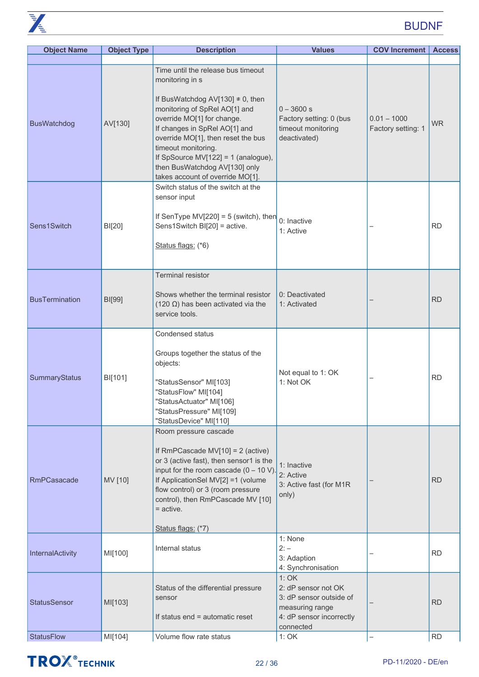| <b>Object Name</b>    | <b>Object Type</b> | <b>Description</b>                                                                                                                                                                                                                                                                                                                                                      | <b>Values</b>                                                                                                      | <b>COV Increment   Access</b>       |           |
|-----------------------|--------------------|-------------------------------------------------------------------------------------------------------------------------------------------------------------------------------------------------------------------------------------------------------------------------------------------------------------------------------------------------------------------------|--------------------------------------------------------------------------------------------------------------------|-------------------------------------|-----------|
| <b>BusWatchdog</b>    | AV[130]            | Time until the release bus timeout<br>monitoring in s<br>If BusWatchdog AV[130] $\neq$ 0, then<br>monitoring of SpRel AO[1] and<br>override MO[1] for change.<br>If changes in SpRel AO[1] and<br>override MO[1], then reset the bus<br>timeout monitoring.<br>If SpSource MV[122] = 1 (analogue),<br>then BusWatchdog AV[130] only<br>takes account of override MO[1]. | $0 - 3600 s$<br>Factory setting: 0 (bus<br>timeout monitoring<br>deactivated)                                      | $0.01 - 1000$<br>Factory setting: 1 | <b>WR</b> |
| Sens1Switch           | BI[20]             | Switch status of the switch at the<br>sensor input<br>If SenType MV[220] = $5$ (switch), then<br>Sens1Switch BI[20] = active.<br>Status flags: (*6)                                                                                                                                                                                                                     | 0: Inactive<br>1: Active                                                                                           |                                     | <b>RD</b> |
| <b>BusTermination</b> | BI[99]             | Terminal resistor<br>Shows whether the terminal resistor<br>(120 $\Omega$ ) has been activated via the<br>service tools.                                                                                                                                                                                                                                                | 0: Deactivated<br>1: Activated                                                                                     |                                     | <b>RD</b> |
| SummaryStatus         | BI[101]            | <b>Condensed status</b><br>Groups together the status of the<br>objects:<br>"StatusSensor" MI[103]<br>"StatusFlow" MI[104]<br>"StatusActuator" MI[106]<br>"StatusPressure" MI[109]<br>"StatusDevice" MI[110]                                                                                                                                                            | Not equal to 1: OK<br>1: Not OK                                                                                    | —                                   | <b>RD</b> |
| <b>RmPCasacade</b>    | MV [10]            | Room pressure cascade<br>If RmPCascade MV[10] = $2$ (active)<br>or 3 (active fast), then sensor1 is the<br>input for the room cascade $(0 - 10 V)$ .<br>If ApplicationSel MV[2] =1 (volume<br>flow control) or 3 (room pressure<br>control), then RmPCascade MV [10]<br>$=$ active.<br>Status flags: (*7)                                                               | 1: Inactive<br>2: Active<br>3: Active fast (for M1R<br>only)                                                       |                                     | <b>RD</b> |
| InternalActivity      | MI[100]            | Internal status                                                                                                                                                                                                                                                                                                                                                         | 1: None<br>$2: -$<br>3: Adaption<br>4: Synchronisation                                                             |                                     | <b>RD</b> |
| <b>StatusSensor</b>   | MI[103]            | Status of the differential pressure<br>sensor<br>If status end = automatic reset                                                                                                                                                                                                                                                                                        | 1:OK<br>2: dP sensor not OK<br>3: dP sensor outside of<br>measuring range<br>4: dP sensor incorrectly<br>connected |                                     | <b>RD</b> |
| <b>StatusFlow</b>     | MI[104]            | Volume flow rate status                                                                                                                                                                                                                                                                                                                                                 | 1:OK                                                                                                               | $\overline{\phantom{0}}$            | <b>RD</b> |

## **TROX**<sup>®</sup>TECHNIK

 $\overline{K}$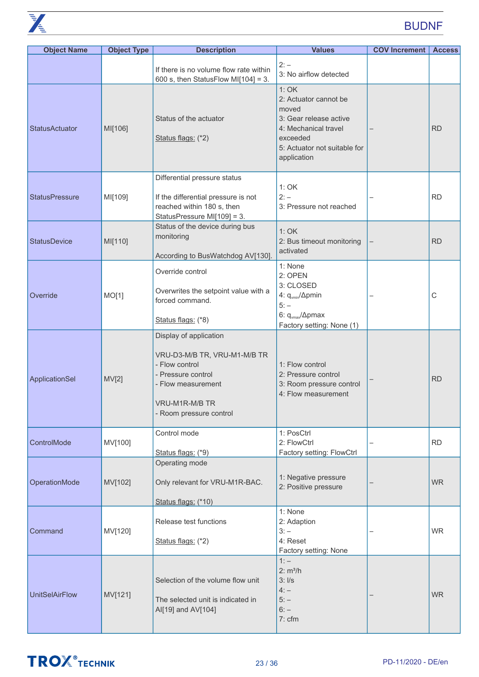

| <b>Object Name</b>    | <b>Object Type</b> | <b>Description</b>                                                                                                                                                | <b>Values</b>                                                                                                                                       | <b>COV Increment</b> | <b>Access</b> |
|-----------------------|--------------------|-------------------------------------------------------------------------------------------------------------------------------------------------------------------|-----------------------------------------------------------------------------------------------------------------------------------------------------|----------------------|---------------|
|                       |                    | If there is no volume flow rate within<br>600 s, then StatusFlow MI[104] = 3.                                                                                     | $2: -$<br>3: No airflow detected                                                                                                                    |                      |               |
| <b>StatusActuator</b> | MI[106]            | Status of the actuator<br>Status flags: (*2)                                                                                                                      | 1:OK<br>2: Actuator cannot be<br>moved<br>3: Gear release active<br>4: Mechanical travel<br>exceeded<br>5: Actuator not suitable for<br>application |                      | <b>RD</b>     |
| <b>StatusPressure</b> | MI[109]            | Differential pressure status<br>If the differential pressure is not<br>reached within 180 s, then<br>StatusPressure MI[109] = 3.                                  | 1: OK<br>$2: -$<br>3: Pressure not reached                                                                                                          |                      | <b>RD</b>     |
| <b>StatusDevice</b>   | MI[110]            | Status of the device during bus<br>monitoring<br>According to BusWatchdog AV[130].                                                                                | 1:OK<br>2: Bus timeout monitoring<br>activated                                                                                                      |                      | <b>RD</b>     |
| Override              | MO[1]              | Override control<br>Overwrites the setpoint value with a<br>forced command.<br>Status flags: (*8)                                                                 | 1: None<br>2: OPEN<br>3: CLOSED<br>4: q <sub>vmin</sub> / $\Delta$ pmin<br>$5: -$<br>6: $q_{\text{max}}/\Delta$ pmax<br>Factory setting: None (1)   |                      | С             |
| ApplicationSel        | MV[2]              | Display of application<br>VRU-D3-M/B TR, VRU-M1-M/B TR<br>- Flow control<br>- Pressure control<br>- Flow measurement<br>VRU-M1R-M/B TR<br>- Room pressure control | 1: Flow control<br>2: Pressure control<br>3: Room pressure control<br>4: Flow measurement                                                           |                      | <b>RD</b>     |
| ControlMode           | MV[100]            | Control mode<br>Status flags: (*9)                                                                                                                                | 1: PosCtrl<br>2: FlowCtrl<br>Factory setting: FlowCtrl                                                                                              |                      | <b>RD</b>     |
| OperationMode         | MV[102]            | Operating mode<br>Only relevant for VRU-M1R-BAC.<br>Status flags: (*10)                                                                                           | 1: Negative pressure<br>2: Positive pressure                                                                                                        |                      | <b>WR</b>     |
| Command               | MV[120]            | Release test functions<br>Status flags: (*2)                                                                                                                      | 1: None<br>2: Adaption<br>$3: -$<br>4: Reset<br>Factory setting: None                                                                               |                      | <b>WR</b>     |
| <b>UnitSelAirFlow</b> | MV[121]            | Selection of the volume flow unit<br>The selected unit is indicated in<br>Al[19] and AV[104]                                                                      | $1: -$<br>2: m <sup>3</sup> /h<br>3:1/s<br>$4: -$<br>$5: -$<br>$6: -$<br>7: cfm                                                                     |                      | <b>WR</b>     |

## **TROX** TECHNIK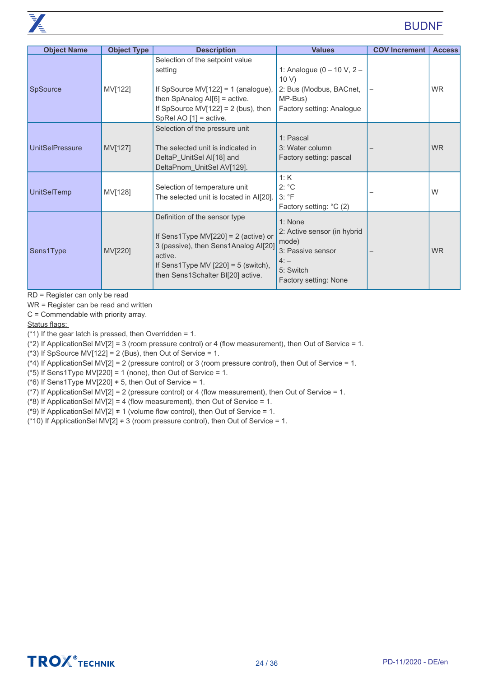| <b>Object Name</b>     | <b>Object Type</b> | <b>Description</b>                                                                                                                                                                                       | <b>Values</b>                                                                                                        | <b>COV Increment</b> | <b>Access</b> |
|------------------------|--------------------|----------------------------------------------------------------------------------------------------------------------------------------------------------------------------------------------------------|----------------------------------------------------------------------------------------------------------------------|----------------------|---------------|
| SpSource               | MV[122]            | Selection of the setpoint value<br>setting<br>If SpSource MV[122] = 1 (analogue),<br>then SpAnalog $AI[6]$ = active.<br>If SpSource MV[122] = $2$ (bus), then<br>SpRel AO $[1]$ = active.                | 1: Analogue ( $0 - 10$ V, $2 -$<br>10 V<br>2: Bus (Modbus, BACnet,<br>MP-Bus)<br>Factory setting: Analogue           |                      | <b>WR</b>     |
| <b>UnitSelPressure</b> | MV[127]            | Selection of the pressure unit<br>The selected unit is indicated in<br>DeltaP_UnitSel Al[18] and<br>DeltaPnom_UnitSel AV[129].                                                                           | 1: Pascal<br>3: Water column<br>Factory setting: pascal                                                              |                      | <b>WR</b>     |
| UnitSelTemp            | MV[128]            | Selection of temperature unit<br>The selected unit is located in Al[20].                                                                                                                                 | 1:K<br>$2: {}^{\circ}C$<br>$3: \degree F$<br>Factory setting: °C (2)                                                 |                      | W             |
| Sens1Type              | MV[220]            | Definition of the sensor type<br>If Sens1Type MV[220] = $2$ (active) or<br>3 (passive), then Sens1Analog Al[20]<br>active.<br>If Sens1Type MV $[220] = 5$ (switch),<br>then Sens1Schalter BI[20] active. | 1: None<br>2: Active sensor (in hybrid<br>mode)<br>3: Passive sensor<br>$4: -$<br>5: Switch<br>Factory setting: None |                      | <b>WR</b>     |

RD = Register can only be read

WR = Register can be read and written

C = Commendable with priority array.

Status flags:

 $(*)$  If the gear latch is pressed, then Overridden = 1.

(\*2) If ApplicationSel MV[2] = 3 (room pressure control) or 4 (flow measurement), then Out of Service = 1.

(\*3) If SpSource MV[122] = 2 (Bus), then Out of Service = 1.

 $(*4)$  If ApplicationSel MV[2] = 2 (pressure control) or 3 (room pressure control), then Out of Service = 1.

( $*5$ ) If Sens1Type MV[220] = 1 (none), then Out of Service = 1.

(\*6) If Sens1Type MV[220]  $\neq$  5, then Out of Service = 1.

(\*7) If ApplicationSel MV[2] = 2 (pressure control) or 4 (flow measurement), then Out of Service = 1.

( $*8$ ) If ApplicationSel MV[2] = 4 (flow measurement), then Out of Service = 1.

(\*9) If ApplicationSel MV[2]  $\neq$  1 (volume flow control), then Out of Service = 1.

(\*10) If ApplicationSel MV[2] ≠ 3 (room pressure control), then Out of Service = 1.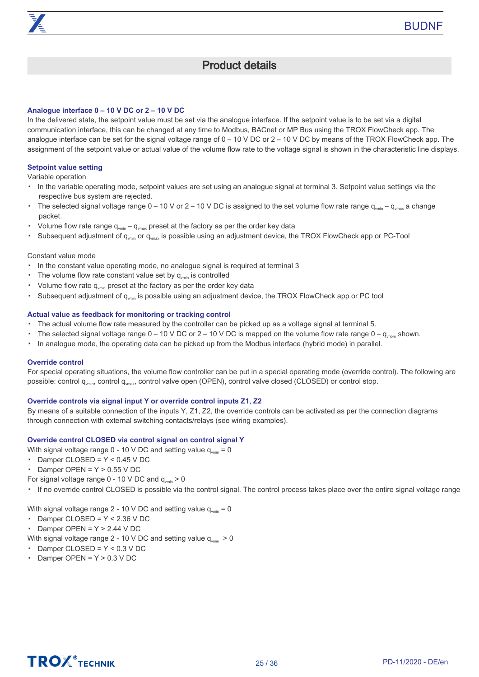### Product details

#### <span id="page-24-0"></span>**Analogue interface 0 – 10 V DC or 2 – 10 V DC**

In the delivered state, the setpoint value must be set via the analogue interface. If the setpoint value is to be set via a digital communication interface, this can be changed at any time to Modbus, BACnet or MP Bus using the TROX FlowCheck app. The analogue interface can be set for the signal voltage range of 0 – 10 V DC or 2 – 10 V DC by means of the TROX FlowCheck app. The assignment of the setpoint value or actual value of the volume flow rate to the voltage signal is shown in the characteristic line displays.

#### **Setpoint value setting**

Variable operation

- In the variable operating mode, setpoint values are set using an analogue signal at terminal 3. Setpoint value settings via the respective bus system are rejected.
- The selected signal voltage range  $0-10$  V or  $2-10$  V DC is assigned to the set volume flow rate range  $q_{\text{win}} q_{\text{max}}$  a change packet.
- Volume flow rate range  $q_{\text{win}} - q_{\text{max}}$  preset at the factory as per the order key data
- Subsequent adjustment of  $q_{\text{win}}$  or  $q_{\text{win}}$  is possible using an adjustment device, the TROX FlowCheck app or PC-Tool

#### Constant value mode

- In the constant value operating mode, no analogue signal is required at terminal 3
- The volume flow rate constant value set by  $q_{\text{vmin}}$  is controlled
- Volume flow rate  $q_{\text{win}}$  preset at the factory as per the order key data
- Subsequent adjustment of q<sub>vmin</sub> is possible using an adjustment device, the TROX FlowCheck app or PC tool

#### **Actual value as feedback for monitoring or tracking control**

- The actual volume flow rate measured by the controller can be picked up as a voltage signal at terminal 5.
- The selected signal voltage range  $0 - 10$  V DC or  $2 - 10$  V DC is mapped on the volume flow rate range  $0 - q_{\text{vnom}}$  shown.
- In analogue mode, the operating data can be picked up from the Modbus interface (hybrid mode) in parallel.

#### **Override control**

For special operating situations, the volume flow controller can be put in a special operating mode (override control). The following are possible: control q<sub>vmin</sub>, control q<sub>vmax</sub>, control valve open (OPEN), control valve closed (CLOSED) or control stop.

#### **Override controls via signal input Y or override control inputs Z1, Z2**

By means of a suitable connection of the inputs Y, Z1, Z2, the override controls can be activated as per the connection diagrams through connection with external switching contacts/relays (see wiring examples).

#### **Override control CLOSED via control signal on control signal Y**

With signal voltage range 0 - 10 V DC and setting value  $q_{\text{win}} = 0$ 

- Damper CLOSED = Y < 0.45 V DC
- Damper OPEN = Y > 0.55 V DC
- For signal voltage range  $0 10$  V DC and  $q_{\text{win}} > 0$

▪ If no override control CLOSED is possible via the control signal. The control process takes place over the entire signal voltage range

With signal voltage range 2 - 10 V DC and setting value  $q_{\text{min}} = 0$ 

- Damper CLOSED = Y < 2.36 V DC
- Damper OPEN = Y > 2.44 V DC

With signal voltage range 2 - 10 V DC and setting value  $q_{\text{win}} > 0$ 

- Damper CLOSED = Y < 0.3 V DC
- Damper OPEN = Y > 0.3 V DC

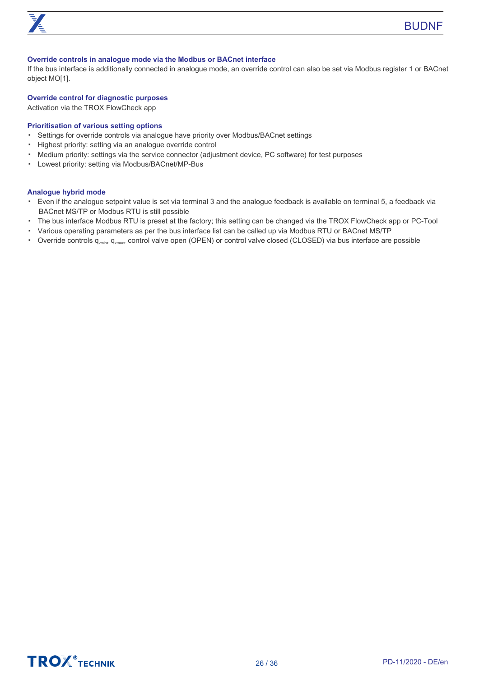

#### **Override controls in analogue mode via the Modbus or BACnet interface**

If the bus interface is additionally connected in analogue mode, an override control can also be set via Modbus register 1 or BACnet object MO[1].

#### **Override control for diagnostic purposes**

Activation via the TROX FlowCheck app

#### **Prioritisation of various setting options**

- Settings for override controls via analogue have priority over Modbus/BACnet settings
- Highest priority: setting via an analogue override control
- Medium priority: settings via the service connector (adjustment device, PC software) for test purposes
- Lowest priority: setting via Modbus/BACnet/MP-Bus

#### **Analogue hybrid mode**

- Even if the analogue setpoint value is set via terminal 3 and the analogue feedback is available on terminal 5, a feedback via BACnet MS/TP or Modbus RTU is still possible
- The bus interface Modbus RTU is preset at the factory; this setting can be changed via the TROX FlowCheck app or PC-Tool
- Various operating parameters as per the bus interface list can be called up via Modbus RTU or BACnet MS/TP
- Override controls  $q_{vmin}$ ,  $q_{vmax}$ , control valve open (OPEN) or control valve closed (CLOSED) via bus interface are possible

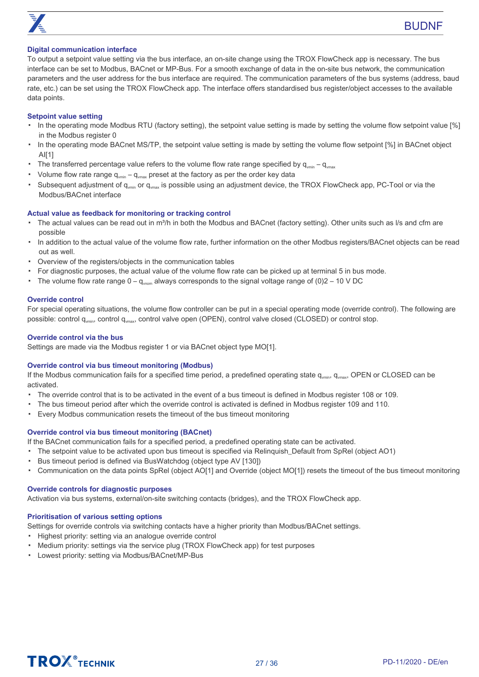

#### **Digital communication interface**

To output a setpoint value setting via the bus interface, an on-site change using the TROX FlowCheck app is necessary. The bus interface can be set to Modbus, BACnet or MP-Bus. For a smooth exchange of data in the on-site bus network, the communication parameters and the user address for the bus interface are required. The communication parameters of the bus systems (address, baud rate, etc.) can be set using the TROX FlowCheck app. The interface offers standardised bus register/object accesses to the available data points.

#### **Setpoint value setting**

- In the operating mode Modbus RTU (factory setting), the setpoint value setting is made by setting the volume flow setpoint value [%] in the Modbus register 0
- In the operating mode BACnet MS/TP, the setpoint value setting is made by setting the volume flow setpoint [%] in BACnet object  $Al[1]$
- The transferred percentage value refers to the volume flow rate range specified by  $q_{\text{win}} - q_{\text{max}}$
- Volume flow rate range  $q_{\text{win}} - q_{\text{max}}$  preset at the factory as per the order key data
- Subsequent adjustment of  $q_{vmin}$  or  $q_{vmax}$  is possible using an adjustment device, the TROX FlowCheck app, PC-Tool or via the Modbus/BACnet interface

#### **Actual value as feedback for monitoring or tracking control**

- The actual values can be read out in m<sup>3</sup>/h in both the Modbus and BACnet (factory setting). Other units such as I/s and cfm are possible
- In addition to the actual value of the volume flow rate, further information on the other Modbus registers/BACnet objects can be read out as well.
- Overview of the registers/objects in the communication tables
- For diagnostic purposes, the actual value of the volume flow rate can be picked up at terminal 5 in bus mode.
- The volume flow rate range  $0 q_{\text{mom}}$  always corresponds to the signal voltage range of (0)2 10 V DC

#### **Override control**

For special operating situations, the volume flow controller can be put in a special operating mode (override control). The following are possible: control q<sub>vmin</sub>, control q<sub>vmax</sub>, control valve open (OPEN), control valve closed (CLOSED) or control stop.

#### **Override control via the bus**

Settings are made via the Modbus register 1 or via BACnet object type MO[1].

#### **Override control via bus timeout monitoring (Modbus)**

If the Modbus communication fails for a specified time period, a predefined operating state  $q_{\text{win}}$ ,  $q_{\text{win}}$ , OPEN or CLOSED can be activated.

- The override control that is to be activated in the event of a bus timeout is defined in Modbus register 108 or 109.
- The bus timeout period after which the override control is activated is defined in Modbus register 109 and 110.
- Every Modbus communication resets the timeout of the bus timeout monitoring

#### **Override control via bus timeout monitoring (BACnet)**

If the BACnet communication fails for a specified period, a predefined operating state can be activated.

- The setpoint value to be activated upon bus timeout is specified via Relinquish\_Default from SpRel (object AO1)
- Bus timeout period is defined via BusWatchdog (object type AV [130])
- Communication on the data points SpRel (object AO[1] and Override (object MO[1]) resets the timeout of the bus timeout monitoring

#### **Override controls for diagnostic purposes**

Activation via bus systems, external/on-site switching contacts (bridges), and the TROX FlowCheck app.

#### **Prioritisation of various setting options**

Settings for override controls via switching contacts have a higher priority than Modbus/BACnet settings.

- Highest priority: setting via an analogue override control
- Medium priority: settings via the service plug (TROX FlowCheck app) for test purposes
- Lowest priority: setting via Modbus/BACnet/MP-Bus

## **TROX** TECHNIK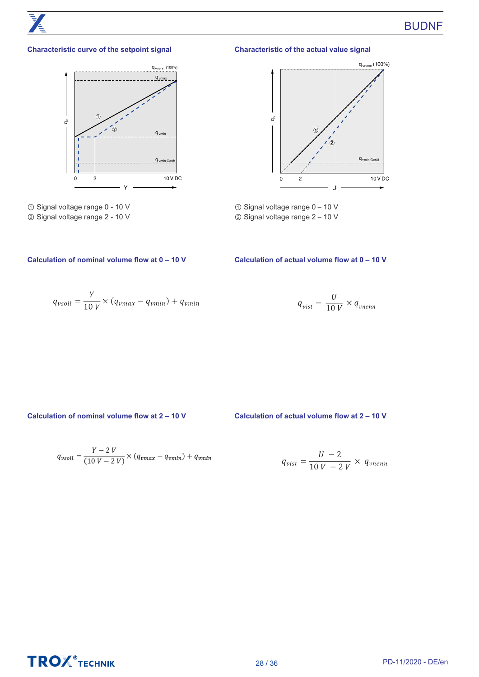

#### **Characteristic curve of the setpoint signal**



① Signal voltage range 0 - 10 V ② Signal voltage range 2 - 10 V

#### **Characteristic of the actual value signal**



- ① Signal voltage range 0 10 V
- ② Signal voltage range 2 10 V

#### **Calculation of nominal volume flow at 0 – 10 V Calculation of actual volume flow at 0 – 10 V**

$$
q_{vsoll} = \frac{Y}{10 V} \times (q_{vmax} - q_{vmin}) + q_{vmin}
$$

$$
q_{vist} = \frac{U}{10 V} \times q_{vnenn}
$$

**Calculation of nominal volume flow at 2 – 10 V Calculation of actual volume flow at 2 – 10 V**

$$
q_{vsoll} = \frac{Y - 2 V}{(10 V - 2 V)} \times (q_{vmax} - q_{vmin}) + q_{vmin}
$$

$$
q_{vist} = \frac{U - 2}{10 V - 2 V} \times q_{vnenn}
$$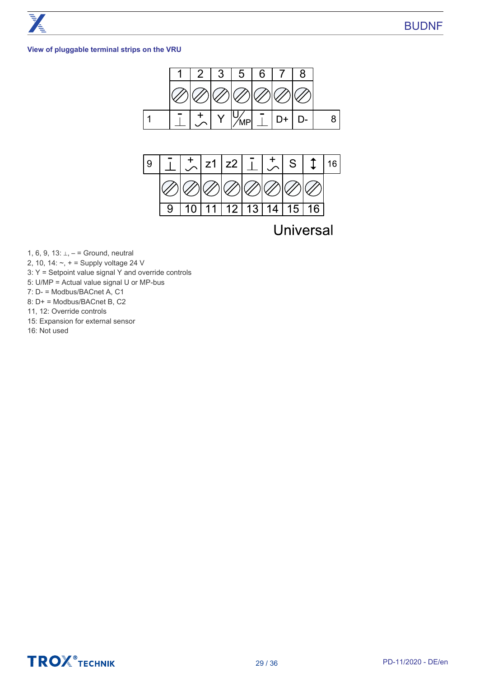#### **View of pluggable terminal strips on the VRU**





**Universal** 

1, 6, 9, 13: ⊥, – = Ground, neutral

2, 10, 14:  $\sim$ ,  $+$  = Supply voltage 24 V

- 3: Y = Setpoint value signal Y and override controls
- 5: U/MP = Actual value signal U or MP-bus

7: D- = Modbus/BACnet A, C1

8: D+ = Modbus/BACnet B, C2

11, 12: Override controls

15: Expansion for external sensor

16: Not used

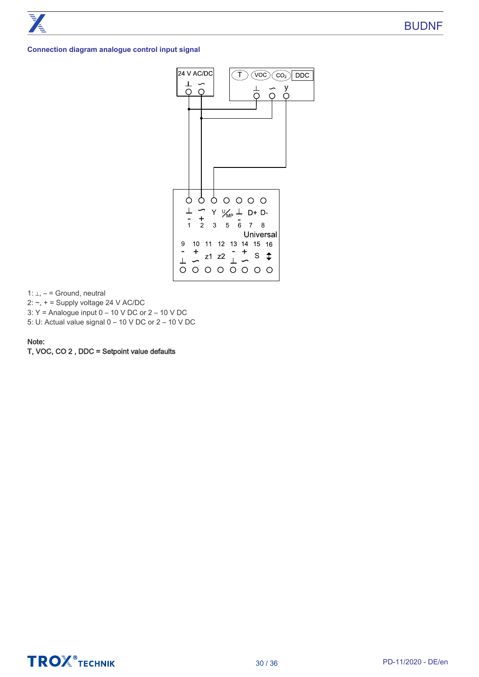#### **Connection diagram analogue control input signal**



1: ⊥, – = Ground, neutral

2:  $\sim$ ,  $+$  = Supply voltage 24 V AC/DC

3: Y = Analogue input 0 – 10 V DC or 2 – 10 V DC

5: U: Actual value signal 0 – 10 V DC or 2 – 10 V DC

#### Note:

T, VOC, CO 2 , DDC = Setpoint value defaults

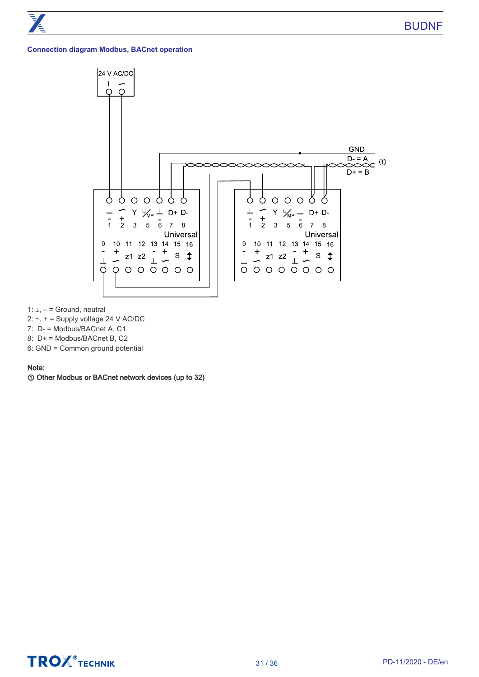#### **Connection diagram Modbus, BACnet operation**



1: ⊥, – = Ground, neutral

- 2:  $\sim$ ,  $+$  = Supply voltage 24 V AC/DC
- 7: D- = Modbus/BACnet A, C1
- 8: D+ = Modbus/BACnet B, C2
- 6: GND = Common ground potential

#### Note:

① Other Modbus or BACnet network devices (up to 32)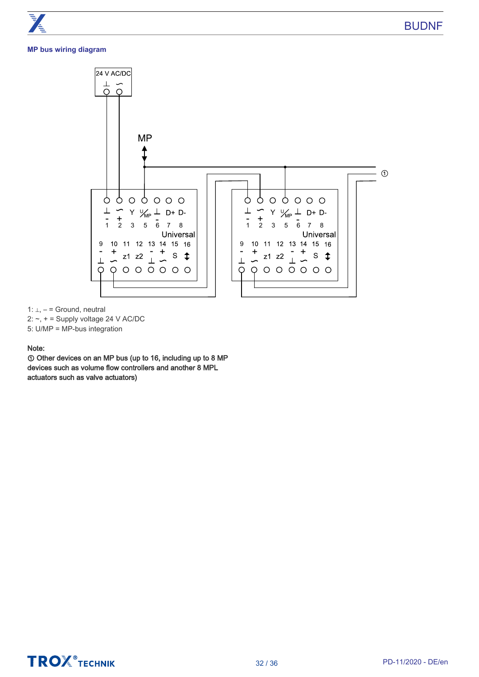#### **MP bus wiring diagram**



1: ⊥, – = Ground, neutral

2:  $\sim$ ,  $+$  = Supply voltage 24 V AC/DC

5: U/MP = MP-bus integration

#### Note:

① Other devices on an MP bus (up to 16, including up to 8 MP devices such as volume flow controllers and another 8 MPL actuators such as valve actuators)

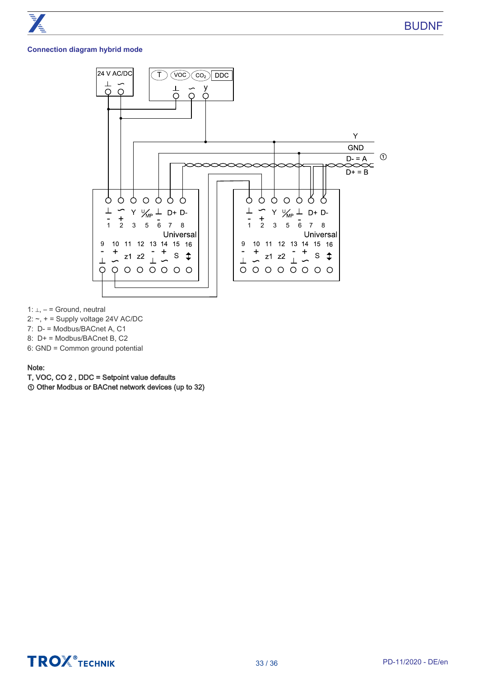#### **Connection diagram hybrid mode**



1: ⊥, – = Ground, neutral

- 2: ~, + = Supply voltage 24V AC/DC
- 7: D- = Modbus/BACnet A, C1
- 8: D+ = Modbus/BACnet B, C2
- 6: GND = Common ground potential

Note:

- T, VOC, CO 2 , DDC = Setpoint value defaults
- ① Other Modbus or BACnet network devices (up to 32)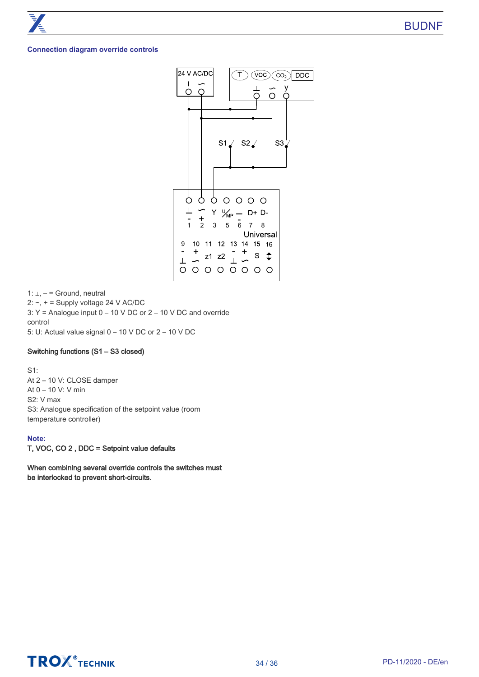#### **Connection diagram override controls**



1: ⊥, – = Ground, neutral 2:  $\sim$ ,  $+$  = Supply voltage 24 V AC/DC 3: Y = Analogue input 0 – 10 V DC or 2 – 10 V DC and override control 5: U: Actual value signal 0 – 10 V DC or 2 – 10 V DC

#### Switching functions (S1 – S3 closed)

S1: At 2 – 10 V: CLOSE damper At 0 – 10 V: V min S2: V max S3: Analogue specification of the setpoint value (room temperature controller)

#### **Note:**

T, VOC, CO 2 , DDC = Setpoint value defaults

When combining several override controls the switches must be interlocked to prevent short-circuits.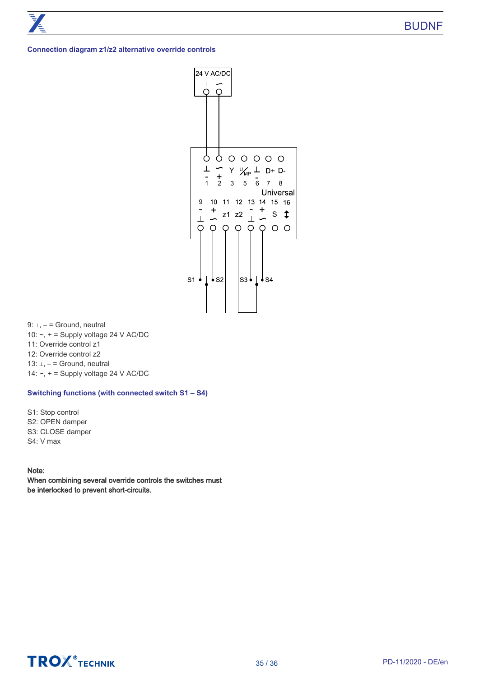#### **Connection diagram z1/z2 alternative override controls**



9: ⊥, – = Ground, neutral

- 10:  $\sim$ ,  $+$  = Supply voltage 24 V AC/DC
- 11: Override control z1
- 12: Override control z2
- 13: ⊥, = Ground, neutral
- 14:  $\sim$ ,  $+$  = Supply voltage 24 V AC/DC

#### **Switching functions (with connected switch S1 – S4)**

S1: Stop control S2: OPEN damper S3: CLOSE damper S4: V max

#### Note:

When combining several override controls the switches must be interlocked to prevent short-circuits.